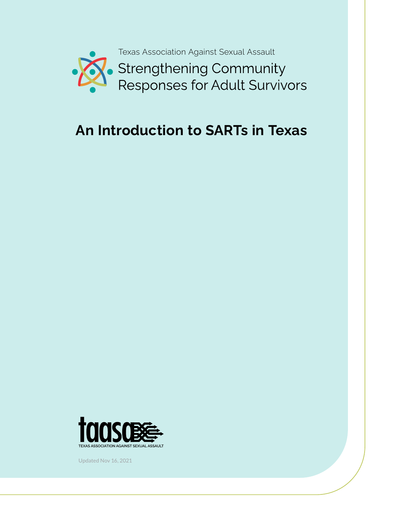

# **An Introduction to SARTs in Texas**



Updated Nov 16, 2021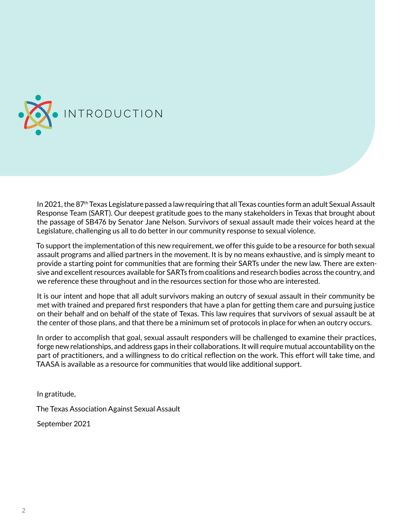<span id="page-1-0"></span>

In 2021, the 87th Texas Legislature passed a law requiring that all Texas counties form an adult Sexual Assault Response Team (SART). Our deepest gratitude goes to the many stakeholders in Texas that brought about the passage of SB476 by Senator Jane Nelson. Survivors of sexual assault made their voices heard at the Legislature, challenging us all to do better in our community response to sexual violence.

To support the implementation of this new requirement, we offer this guide to be a resource for both sexual assault programs and allied partners in the movement. It is by no means exhaustive, and is simply meant to provide a starting point for communities that are forming their SARTs under the new law. There are extensive and excellent resources available for SARTs from coalitions and research bodies across the country, and we reference these throughout and in the resources section for those who are interested.

It is our intent and hope that all adult survivors making an outcry of sexual assault in their community be met with trained and prepared first responders that have a plan for getting them care and pursuing justice on their behalf and on behalf of the state of Texas. This law requires that survivors of sexual assault be at the center of those plans, and that there be a minimum set of protocols in place for when an outcry occurs.

In order to accomplish that goal, sexual assault responders will be challenged to examine their practices, forge new relationships, and address gaps in their collaborations. It will require mutual accountability on the part of practitioners, and a willingness to do critical reflection on the work. This effort will take time, and TAASA is available as a resource for communities that would like additional support.

In gratitude,

The Texas Association Against Sexual Assault

September 2021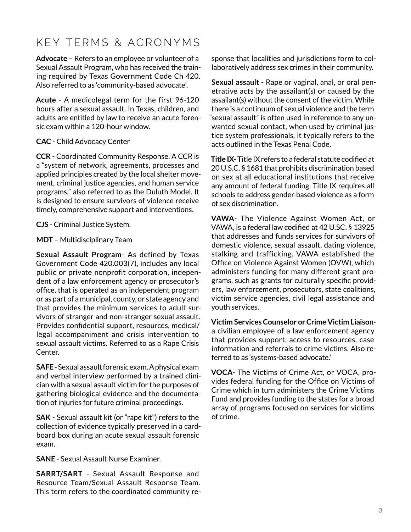## <span id="page-2-0"></span>KEY TERMS & ACRONYMS

**Advocate** – Refers to an employee or volunteer of a Sexual Assault Program, who has received the training required by Texas Government Code Ch 420. Also referred to as 'community-based advocate'.

**Acute** - A medicolegal term for the first 96-120 hours after a sexual assault. In Texas, children, and adults are entitled by law to receive an acute forensic exam within a 120-hour window.

#### **CAC** - Child Advocacy Center

**CCR** - Coordinated Community Response. A CCR is a "system of network, agreements, processes and applied principles created by the local shelter movement, criminal justice agencies, and human service programs," also referred to as the Duluth Model. It is designed to ensure survivors of violence receive timely, comprehensive support and interventions.

**CJS** - Criminal Justice System.

**MDT** – Multidisciplinary Team

**Sexual Assault Program**- As defined by Texas Government Code 420.003(7), includes any local public or private nonprofit corporation, independent of a law enforcement agency or prosecutor's office, that is operated as an independent program or as part of a municipal, county, or state agency and that provides the minimum services to adult survivors of stranger and non-stranger sexual assault. Provides confidential support, resources, medical/ legal accompaniment and crisis intervention to sexual assault victims. Referred to as a Rape Crisis Center.

**SAFE** - Sexual assault forensic exam. A physical exam and verbal interview performed by a trained clinician with a sexual assault victim for the purposes of gathering biological evidence and the documentation of injuries for future criminal proceedings.

**SAK** - Sexual assault kit (or "rape kit") refers to the collection of evidence typically preserved in a cardboard box during an acute sexual assault forensic exam.

**SANE** - Sexual Assault Nurse Examiner.

**SARRT/SART** - Sexual Assault Response and Resource Team/Sexual Assault Response Team. This term refers to the coordinated community response that localities and jurisdictions form to collaboratively address sex crimes in their community.

**Sexual assault** - Rape or vaginal, anal, or oral penetrative acts by the assailant(s) or caused by the assailant(s) without the consent of the victim. While there is a continuum of sexual violence and the term "sexual assault" is often used in reference to any unwanted sexual contact, when used by criminal justice system professionals, it typically refers to the acts outlined in the Texas Penal Code.

**Title IX**- Title IX refers to a federal statute codified at 20 U.S.C. § 1681 that prohibits discrimination based on sex at all educational institutions that receive any amount of federal funding. Title IX requires all schools to address gender-based violence as a form of sex discrimination.

**VAWA**- The Violence Against Women Act, or VAWA, is a federal law codified at 42 U.SC. § 13925 that addresses and funds services for survivors of domestic violence, sexual assault, dating violence, stalking and trafficking. VAWA established the Office on Violence Against Women (OVW), which administers funding for many different grant programs, such as grants for culturally specific providers, law enforcement, prosecutors, state coalitions, victim service agencies, civil legal assistance and youth services.

**Victim Services Counselor or Crime Victim Liaison**a civilian employee of a law enforcement agency that provides support, access to resources, case information and referrals to crime victims. Also referred to as 'systems-based advocate.'

**VOCA**- The Victims of Crime Act, or VOCA, provides federal funding for the Office on Victims of Crime which in turn administers the Crime Victims Fund and provides funding to the states for a broad array of programs focused on services for victims of crime.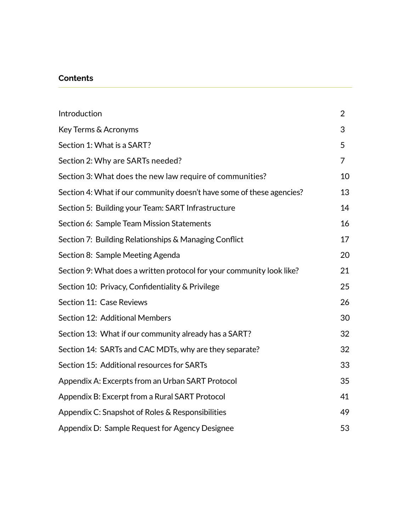#### **Contents**

| Introduction                                                          | $\overline{2}$ |
|-----------------------------------------------------------------------|----------------|
| Key Terms & Acronyms                                                  | 3              |
| Section 1: What is a SART?                                            | 5              |
| Section 2: Why are SARTs needed?                                      | 7              |
| Section 3: What does the new law require of communities?              | 10             |
| Section 4: What if our community doesn't have some of these agencies? | 13             |
| Section 5: Building your Team: SART Infrastructure                    | 14             |
| Section 6: Sample Team Mission Statements                             | 16             |
| Section 7: Building Relationships & Managing Conflict                 | 17             |
| Section 8: Sample Meeting Agenda                                      | 20             |
| Section 9: What does a written protocol for your community look like? | 21             |
| Section 10: Privacy, Confidentiality & Privilege                      | 25             |
| Section 11: Case Reviews                                              | 26             |
| Section 12: Additional Members                                        | 30             |
| Section 13: What if our community already has a SART?                 | 32             |
| Section 14: SARTs and CAC MDTs, why are they separate?                | 32             |
| Section 15: Additional resources for SARTs                            | 33             |
| Appendix A: Excerpts from an Urban SART Protocol                      | 35             |
| Appendix B: Excerpt from a Rural SART Protocol                        | 41             |
| Appendix C: Snapshot of Roles & Responsibilities                      | 49             |
| Appendix D: Sample Request for Agency Designee                        | 53             |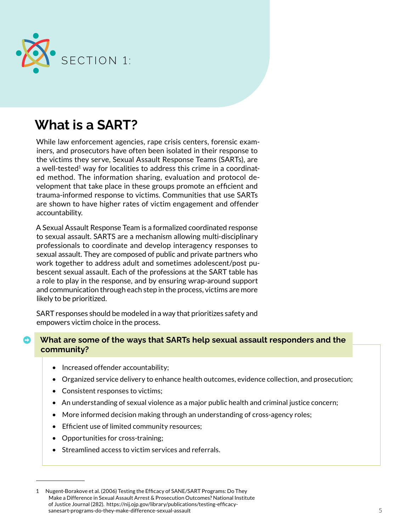<span id="page-4-0"></span>

# **What is a SART?**

While law enforcement agencies, rape crisis centers, forensic examiners, and prosecutors have often been isolated in their response to the victims they serve, Sexual Assault Response Teams (SARTs), are a well-tested<sup>1</sup> way for localities to address this crime in a coordinated method. The information sharing, evaluation and protocol development that take place in these groups promote an efficient and trauma-informed response to victims. Communities that use SARTs are shown to have higher rates of victim engagement and offender accountability.

A Sexual Assault Response Team is a formalized coordinated response to sexual assault. SARTS are a mechanism allowing multi-disciplinary professionals to coordinate and develop interagency responses to sexual assault. They are composed of public and private partners who work together to address adult and sometimes adolescent/post pubescent sexual assault. Each of the professions at the SART table has a role to play in the response, and by ensuring wrap-around support and communication through each step in the process, victims are more likely to be prioritized.

SART responses should be modeled in a way that prioritizes safety and empowers victim choice in the process.

#### ➡ **What are some of the ways that SARTs help sexual assault responders and the community?**

- Increased offender accountability;
- Organized service delivery to enhance health outcomes, evidence collection, and prosecution;
- Consistent responses to victims;
- An understanding of sexual violence as a major public health and criminal justice concern;
- More informed decision making through an understanding of cross-agency roles;
- Efficient use of limited community resources;
- Opportunities for cross-training;
- Streamlined access to victim services and referrals.

<sup>1</sup> Nugent-Borakove et al. (2006) Testing the Efficacy of SANE/SART Programs: Do They Make a Difference in Sexual Assault Arrest & Prosecution Outcomes? National Institute of Justice Journal (282). https://nij.ojp.gov/library/publications/testing-efficacysanesart-programs-do-they-make-difference-sexual-assault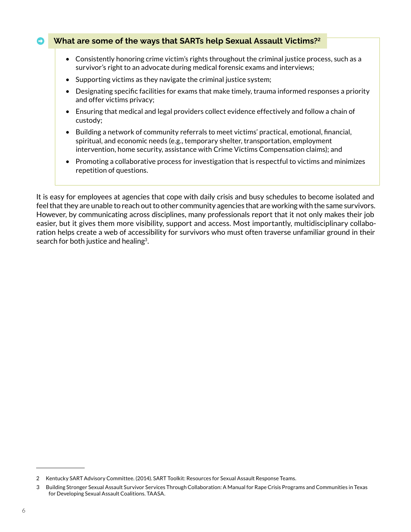#### ➡ **What are some of the ways that SARTs help Sexual Assault Victims?2**

- Consistently honoring crime victim's rights throughout the criminal justice process, such as a survivor's right to an advocate during medical forensic exams and interviews;
- Supporting victims as they navigate the criminal justice system;
- Designating specific facilities for exams that make timely, trauma informed responses a priority and offer victims privacy;
- Ensuring that medical and legal providers collect evidence effectively and follow a chain of custody;
- Building a network of community referrals to meet victims' practical, emotional, financial, spiritual, and economic needs (e.g., temporary shelter, transportation, employment intervention, home security, assistance with Crime Victims Compensation claims); and
- Promoting a collaborative process for investigation that is respectful to victims and minimizes repetition of questions.

It is easy for employees at agencies that cope with daily crisis and busy schedules to become isolated and feel that they are unable to reach out to other community agencies that are working with the same survivors. However, by communicating across disciplines, many professionals report that it not only makes their job easier, but it gives them more visibility, support and access. Most importantly, multidisciplinary collaboration helps create a web of accessibility for survivors who must often traverse unfamiliar ground in their search for both justice and healing<sup>3</sup>.

<sup>2</sup> Kentucky SART Advisory Committee. (2014). SART Toolkit: Resources for Sexual Assault Response Teams.

<sup>3</sup> Building Stronger Sexual Assault Survivor Services Through Collaboration: A Manual for Rape Crisis Programs and Communities in Texas for Developing Sexual Assault Coalitions. TAASA.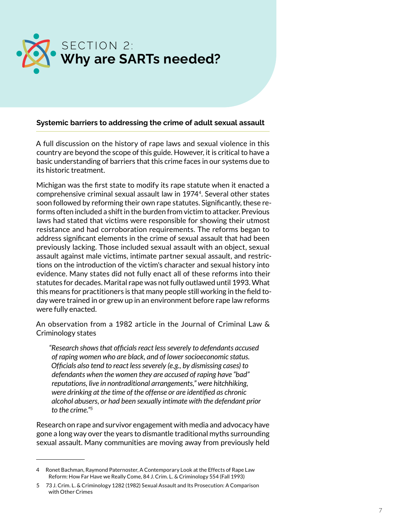<span id="page-6-0"></span>

#### **Systemic barriers to addressing the crime of adult sexual assault**

A full discussion on the history of rape laws and sexual violence in this country are beyond the scope of this guide. However, it is critical to have a basic understanding of barriers that this crime faces in our systems due to its historic treatment.

Michigan was the first state to modify its rape statute when it enacted a comprehensive criminal sexual assault law in 19744. Several other states soon followed by reforming their own rape statutes. Significantly, these reforms often included a shift in the burden from victim to attacker. Previous laws had stated that victims were responsible for showing their utmost resistance and had corroboration requirements. The reforms began to address significant elements in the crime of sexual assault that had been previously lacking. Those included sexual assault with an object, sexual assault against male victims, intimate partner sexual assault, and restrictions on the introduction of the victim's character and sexual history into evidence. Many states did not fully enact all of these reforms into their statutes for decades. Marital rape was not fully outlawed until 1993. What this means for practitioners is that many people still working in the field today were trained in or grew up in an environment before rape law reforms were fully enacted.

An observation from a 1982 article in the Journal of Criminal Law & Criminology states

*"Research shows that officials react less severely to defendants accused of raping women who are black, and of lower socioeconomic status. Officials also tend to react less severely (e.g., by dismissing cases) to defendants when the women they are accused of raping have "bad" reputations, live in nontraditional arrangements," were hitchhiking, were drinking at the time of the offense or are identified as chronic alcohol abusers, or had been sexually intimate with the defendant prior to the crime."<sup>5</sup>*

Research on rape and survivor engagement with media and advocacy have gone a long way over the years to dismantle traditional myths surrounding sexual assault. Many communities are moving away from previously held

<sup>4</sup> Ronet Bachman, Raymond Paternoster, A Contemporary Look at the Effects of Rape Law Reform: How Far Have we Really Come, 84 J. Crim. L. & Criminology 554 (Fall 1993)

<sup>5 73</sup> J. Crim. L. & Criminology 1282 (1982) Sexual Assault and Its Prosecution: A Comparison with Other Crimes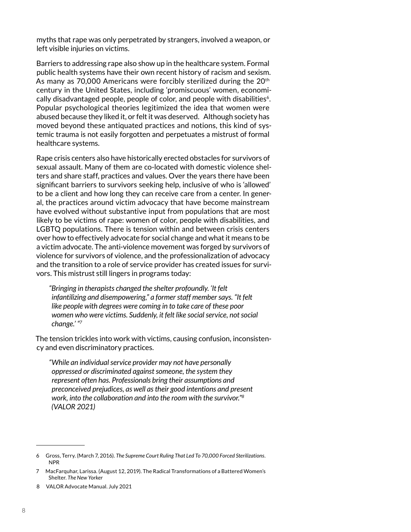myths that rape was only perpetrated by strangers, involved a weapon, or left visible injuries on victims.

Barriers to addressing rape also show up in the healthcare system. Formal public health systems have their own recent history of racism and sexism. As many as 70,000 Americans were forcibly sterilized during the 20<sup>th</sup> century in the United States, including 'promiscuous' women, economically disadvantaged people, people of color, and people with disabilities $6$ . Popular psychological theories legitimized the idea that women were abused because they liked it, or felt it was deserved. Although society has moved beyond these antiquated practices and notions, this kind of systemic trauma is not easily forgotten and perpetuates a mistrust of formal healthcare systems.

Rape crisis centers also have historically erected obstacles for survivors of sexual assault. Many of them are co-located with domestic violence shelters and share staff, practices and values. Over the years there have been significant barriers to survivors seeking help, inclusive of who is 'allowed' to be a client and how long they can receive care from a center. In general, the practices around victim advocacy that have become mainstream have evolved without substantive input from populations that are most likely to be victims of rape: women of color, people with disabilities, and LGBTQ populations. There is tension within and between crisis centers over how to effectively advocate for social change and what it means to be a victim advocate. The anti-violence movement was forged by survivors of violence for survivors of violence, and the professionalization of advocacy and the transition to a role of service provider has created issues for survivors. This mistrust still lingers in programs today:

*"Bringing in therapists changed the shelter profoundly. 'It felt infantilizing and disempowering," a former staff member says. "It felt like people with degrees were coming in to take care of these poor women who were victims. Suddenly, it felt like social service, not social change.' "<sup>7</sup>*

The tension trickles into work with victims, causing confusion, inconsistency and even discriminatory practices.

*"While an individual service provider may not have personally oppressed or discriminated against someone, the system they represent often has. Professionals bring their assumptions and preconceived prejudices, as well as their good intentions and present work, into the collaboration and into the room with the survivor."<sup>8</sup> (VALOR 2021)*

<sup>6</sup> Gross, Terry. (March 7, 2016). *The Supreme Court Ruling That Led To 70,000 Forced Sterilizations*. NPR

<sup>7</sup> MacFarquhar, Larissa. (August 12, 2019). The Radical Transformations of a Battered Women's Shelter. *The New Yorker*

<sup>8</sup> VALOR Advocate Manual. July 2021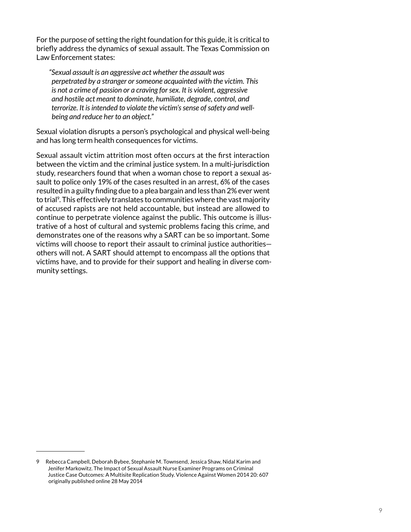For the purpose of setting the right foundation for this guide, it is critical to briefly address the dynamics of sexual assault. The Texas Commission on Law Enforcement states:

*"Sexual assault is an aggressive act whether the assault was perpetrated by a stranger or someone acquainted with the victim. This is not a crime of passion or a craving for sex. It is violent, aggressive and hostile act meant to dominate, humiliate, degrade, control, and terrorize. It is intended to violate the victim's sense of safety and wellbeing and reduce her to an object."* 

Sexual violation disrupts a person's psychological and physical well-being and has long term health consequences for victims.

Sexual assault victim attrition most often occurs at the first interaction between the victim and the criminal justice system. In a multi-jurisdiction study, researchers found that when a woman chose to report a sexual assault to police only 19% of the cases resulted in an arrest, 6% of the cases resulted in a guilty finding due to a plea bargain and less than 2% ever went to trial<sup>9</sup>. This effectively translates to communities where the vast majority of accused rapists are not held accountable, but instead are allowed to continue to perpetrate violence against the public. This outcome is illustrative of a host of cultural and systemic problems facing this crime, and demonstrates one of the reasons why a SART can be so important. Some victims will choose to report their assault to criminal justice authorities others will not. A SART should attempt to encompass all the options that victims have, and to provide for their support and healing in diverse community settings.

<sup>9</sup> Rebecca Campbell, Deborah Bybee, Stephanie M. Townsend, Jessica Shaw, Nidal Karim and Jenifer Markowitz. The Impact of Sexual Assault Nurse Examiner Programs on Criminal Justice Case Outcomes: A Multisite Replication Study. Violence Against Women 2014 20: 607 originally published online 28 May 2014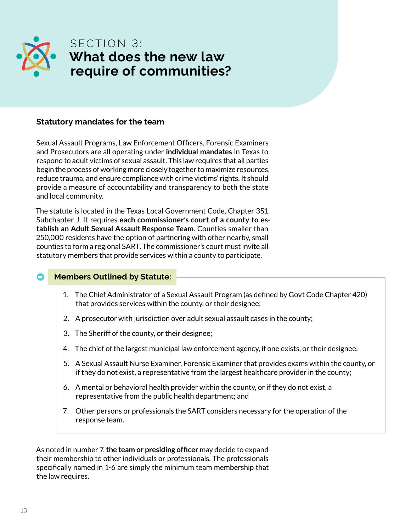<span id="page-9-0"></span>

### SECTION 3: **What does the new law require of communities?**

#### **Statutory mandates for the team**

Sexual Assault Programs, Law Enforcement Officers, Forensic Examiners and Prosecutors are all operating under **individual mandates** in Texas to respond to adult victims of sexual assault. This law requires that all parties begin the process of working more closely together to maximize resources, reduce trauma, and ensure compliance with crime victims' rights. It should provide a measure of accountability and transparency to both the state and local community.

The statute is located in the Texas Local Government Code, Chapter 351, Subchapter J. It requires **each commissioner's court of a county to establish an Adult Sexual Assault Response Team**. Counties smaller than 250,000 residents have the option of partnering with other nearby, small counties to form a regional SART. The commissioner's court must invite all statutory members that provide services within a county to participate.

#### ➡ **Members Outlined by Statute:**

- 1. The Chief Administrator of a Sexual Assault Program (as defined by Govt Code Chapter 420) that provides services within the county, or their designee;
- 2. A prosecutor with jurisdiction over adult sexual assault cases in the county;
- 3. The Sheriff of the county, or their designee;
- 4. The chief of the largest municipal law enforcement agency, if one exists, or their designee;
- 5. A Sexual Assault Nurse Examiner, Forensic Examiner that provides exams within the county, or if they do not exist, a representative from the largest healthcare provider in the county;
- 6. A mental or behavioral health provider within the county, or if they do not exist, a representative from the public health department; and
- 7. Other persons or professionals the SART considers necessary for the operation of the response team.

As noted in number 7, **the team or presiding officer** may decide to expand their membership to other individuals or professionals. The professionals specifically named in 1-6 are simply the minimum team membership that the law requires.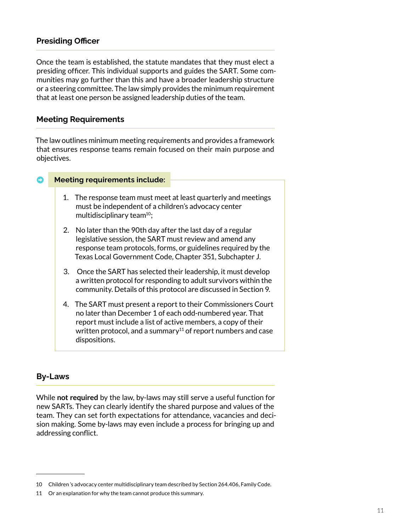#### **Presiding Officer**

Once the team is established, the statute mandates that they must elect a presiding officer. This individual supports and guides the SART. Some communities may go further than this and have a broader leadership structure or a steering committee. The law simply provides the minimum requirement that at least one person be assigned leadership duties of the team.

#### **Meeting Requirements**

The law outlines minimum meeting requirements and provides a framework that ensures response teams remain focused on their main purpose and objectives.

#### ➡ **Meeting requirements include:**

- 1. The response team must meet at least quarterly and meetings must be independent of a children's advocacy center multidisciplinary team<sup>10</sup>;
- 2. No later than the 90th day after the last day of a regular legislative session, the SART must review and amend any response team protocols, forms, or guidelines required by the Texas Local Government Code, Chapter 351, Subchapter J.
- 3. Once the SART has selected their leadership, it must develop a written protocol for responding to adult survivors within the community. Details of this protocol are discussed in Section 9.
- 4. The SART must present a report to their Commissioners Court no later than December 1 of each odd-numbered year. That report must include a list of active members, a copy of their written protocol, and a summary<sup>11</sup> of report numbers and case dispositions.

#### **By-Laws**

While **not required** by the law, by-laws may still serve a useful function for new SARTs. They can clearly identify the shared purpose and values of the team. They can set forth expectations for attendance, vacancies and decision making. Some by-laws may even include a process for bringing up and addressing conflict.

<sup>10</sup> Children 's advocacy center multidisciplinary team described by Section 264.406, Family Code.

<sup>11</sup> Or an explanation for why the team cannot produce this summary.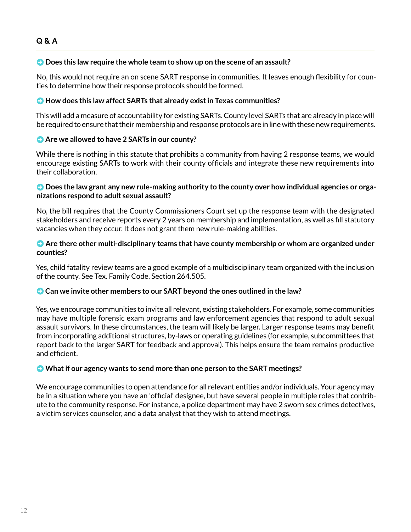#### ➡ **Does this law require the whole team to show up on the scene of an assault?**

No, this would not require an on scene SART response in communities. It leaves enough flexibility for counties to determine how their response protocols should be formed.

#### ➡ **How does this law affect SARTs that already exist in Texas communities?**

This will add a measure of accountability for existing SARTs. County level SARTs that are already in place will be required to ensure that their membership and response protocols are in line with these new requirements.

#### **• Are we allowed to have 2 SARTs in our county?**

While there is nothing in this statute that prohibits a community from having 2 response teams, we would encourage existing SARTs to work with their county officials and integrate these new requirements into their collaboration.

#### ➡ **Does the law grant any new rule-making authority to the county over how individual agencies or organizations respond to adult sexual assault?**

No, the bill requires that the County Commissioners Court set up the response team with the designated stakeholders and receive reports every 2 years on membership and implementation, as well as fill statutory vacancies when they occur. It does not grant them new rule-making abilities.

#### ➡ **Are there other multi-disciplinary teams that have county membership or whom are organized under counties?**

Yes, child fatality review teams are a good example of a multidisciplinary team organized with the inclusion of the county. See Tex. Family Code, Section 264.505.

#### ➡ **Can we invite other members to our SART beyond the ones outlined in the law?**

Yes, we encourage communities to invite all relevant, existing stakeholders. For example, some communities may have multiple forensic exam programs and law enforcement agencies that respond to adult sexual assault survivors. In these circumstances, the team will likely be larger. Larger response teams may benefit from incorporating additional structures, by-laws or operating guidelines (for example, subcommittees that report back to the larger SART for feedback and approval). This helps ensure the team remains productive and efficient.

#### ➡ **What if our agency wants to send more than one person to the SART meetings?**

We encourage communities to open attendance for all relevant entities and/or individuals. Your agency may be in a situation where you have an 'official' designee, but have several people in multiple roles that contribute to the community response. For instance, a police department may have 2 sworn sex crimes detectives, a victim services counselor, and a data analyst that they wish to attend meetings.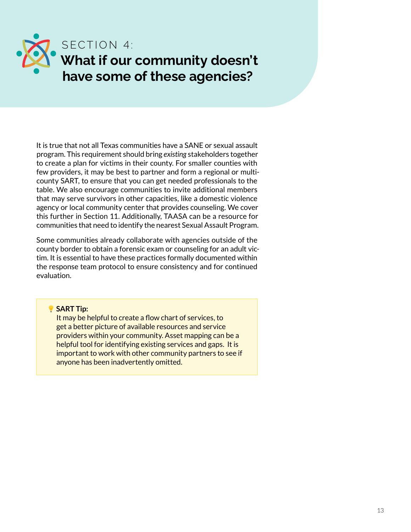<span id="page-12-0"></span>

It is true that not all Texas communities have a SANE or sexual assault program. This requirement should bring *existing* stakeholders together to create a plan for victims in their county. For smaller counties with few providers, it may be best to partner and form a regional or multicounty SART, to ensure that you can get needed professionals to the table. We also encourage communities to invite additional members that may serve survivors in other capacities, like a domestic violence agency or local community center that provides counseling. We cover this further in Section 11. Additionally, TAASA can be a resource for communities that need to identify the nearest Sexual Assault Program.

Some communities already collaborate with agencies outside of the county border to obtain a forensic exam or counseling for an adult victim. It is essential to have these practices formally documented within the response team protocol to ensure consistency and for continued evaluation.

**SART Tip:** 

It may be helpful to create a flow chart of services, to get a better picture of available resources and service providers within your community. Asset mapping can be a helpful tool for identifying existing services and gaps. It is important to work with other community partners to see if anyone has been inadvertently omitted.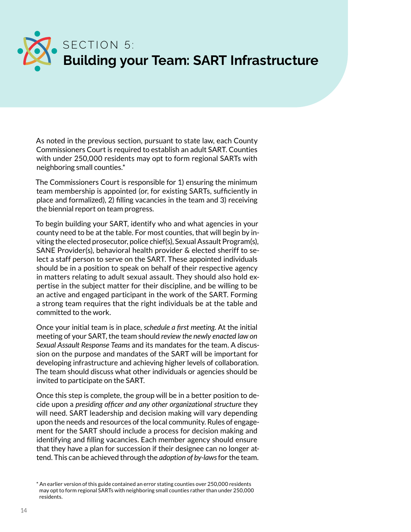<span id="page-13-0"></span>

As noted in the previous section, pursuant to state law, each County Commissioners Court is required to establish an adult SART. Counties with under 250,000 residents may opt to form regional SARTs with neighboring small counties.\*

The Commissioners Court is responsible for 1) ensuring the minimum team membership is appointed (or, for existing SARTs, sufficiently in place and formalized), 2) filling vacancies in the team and 3) receiving the biennial report on team progress.

To begin building your SART, identify who and what agencies in your county need to be at the table. For most counties, that will begin by inviting the elected prosecutor, police chief(s), Sexual Assault Program(s), SANE Provider(s), behavioral health provider & elected sheriff to select a staff person to serve on the SART. These appointed individuals should be in a position to speak on behalf of their respective agency in matters relating to adult sexual assault. They should also hold expertise in the subject matter for their discipline, and be willing to be an active and engaged participant in the work of the SART. Forming a strong team requires that the right individuals be at the table and committed to the work.

Once your initial team is in place, *schedule a first meeting*. At the initial meeting of your SART, the team should *review the newly enacted law on Sexual Assault Response Teams* and its mandates for the team. A discussion on the purpose and mandates of the SART will be important for developing infrastructure and achieving higher levels of collaboration. The team should discuss what other individuals or agencies should be invited to participate on the SART.

Once this step is complete, the group will be in a better position to decide upon a *presiding officer and any other organizational structure* they will need. SART leadership and decision making will vary depending upon the needs and resources of the local community. Rules of engagement for the SART should include a process for decision making and identifying and filling vacancies. Each member agency should ensure that they have a plan for succession if their designee can no longer attend. This can be achieved through the *adoption of by-laws* for the team.

<sup>\*</sup> An earlier version of this guide contained an error stating counties over 250,000 residents may opt to form regional SARTs with neighboring small counties rather than under 250,000 residents.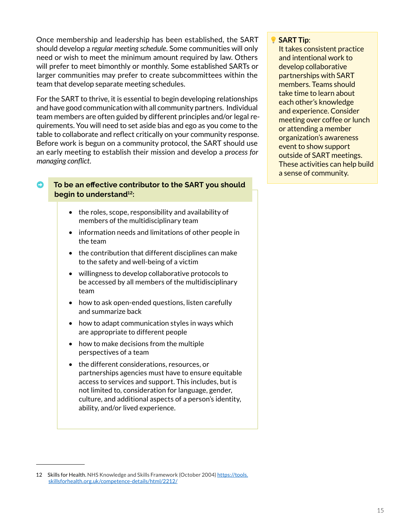Once membership and leadership has been established, the SART should develop a *regular meeting schedule*. Some communities will only need or wish to meet the minimum amount required by law. Others will prefer to meet bimonthly or monthly. Some established SARTs or larger communities may prefer to create subcommittees within the team that develop separate meeting schedules.

For the SART to thrive, it is essential to begin developing relationships and have good communication with all community partners. Individual team members are often guided by different principles and/or legal requirements. You will need to set aside bias and ego as you come to the table to collaborate and reflect critically on your community response. Before work is begun on a community protocol, the SART should use an early meeting to establish their mission and develop a *process for managing conflict*.

#### ➡ **To be an effective contributor to the SART you should begin to understand12:**

- the roles, scope, responsibility and availability of members of the multidisciplinary team
- information needs and limitations of other people in the team
- the contribution that different disciplines can make to the safety and well-being of a victim
- willingness to develop collaborative protocols to be accessed by all members of the multidisciplinary team
- how to ask open-ended questions, listen carefully and summarize back
- how to adapt communication styles in ways which are appropriate to different people
- how to make decisions from the multiple perspectives of a team
- the different considerations, resources, or partnerships agencies must have to ensure equitable access to services and support. This includes, but is not limited to, consideration for language, gender, culture, and additional aspects of a person's identity, ability, and/or lived experience.

#### **SART Tip**:

It takes consistent practice and intentional work to develop collaborative partnerships with SART members. Teams should take time to learn about each other's knowledge and experience. Consider meeting over coffee or lunch or attending a member organization's awareness event to show support outside of SART meetings. These activities can help build a sense of community.

<sup>12</sup> Skills for Health. NHS Knowledge and Skills Framework (October 2004) [https://tools.](https://tools.skillsforhealth.org.uk/competence-details/html/2212/) [skillsforhealth.org.uk/competence-details/html/2212/](https://tools.skillsforhealth.org.uk/competence-details/html/2212/)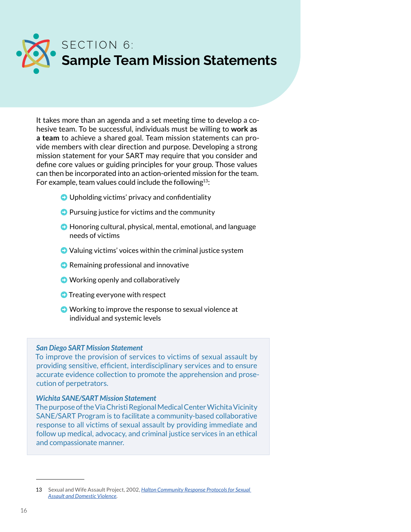<span id="page-15-0"></span>

It takes more than an agenda and a set meeting time to develop a cohesive team. To be successful, individuals must be willing to **work as a team** to achieve a shared goal. Team mission statements can provide members with clear direction and purpose. Developing a strong mission statement for your SART may require that you consider and define core values or guiding principles for your group. Those values can then be incorporated into an action-oriented mission for the team. For example, team values could include the following<sup>13</sup>:

- $\bullet$  Upholding victims' privacy and confidentiality
- $\bullet$  Pursuing justice for victims and the community
- ➡ Honoring cultural, physical, mental, emotional, and language needs of victims
- $\bullet$  Valuing victims' voices within the criminal justice system
- Remaining professional and innovative
- Working openly and collaboratively
- **O** Treating everyone with respect
- ➡ Working to improve the response to sexual violence at individual and systemic levels

#### *San Diego SART Mission Statement*

To improve the provision of services to victims of sexual assault by providing sensitive, efficient, interdisciplinary services and to ensure accurate evidence collection to promote the apprehension and prosecution of perpetrators.

#### *Wichita SANE/SART Mission Statement*

The purpose of the Via Christi Regional Medical Center Wichita Vicinity SANE/SART Program is to facilitate a community-based collaborative response to all victims of sexual assault by providing immediate and follow up medical, advocacy, and criminal justice services in an ethical and compassionate manner.

<sup>13</sup> Sexual and Wife Assault Project, 2002, *[Halton Community Response Protocols for Sexual](http://www.josephbranthospital.ca/workfiles/Outpatient%20clinics-program/HaltonCommunityResponseProtocolforsexualassaultanddomesticviolence.pdf)  [Assault and Domestic Violence](http://www.josephbranthospital.ca/workfiles/Outpatient%20clinics-program/HaltonCommunityResponseProtocolforsexualassaultanddomesticviolence.pdf)*.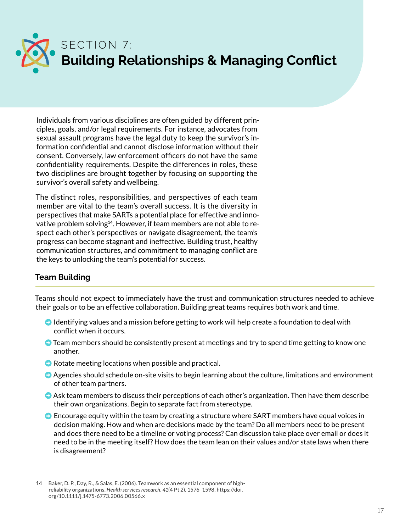<span id="page-16-0"></span>

Individuals from various disciplines are often guided by different principles, goals, and/or legal requirements. For instance, advocates from sexual assault programs have the legal duty to keep the survivor's information confidential and cannot disclose information without their consent. Conversely, law enforcement officers do not have the same confidentiality requirements. Despite the differences in roles, these two disciplines are brought together by focusing on supporting the survivor's overall safety and wellbeing.

The distinct roles, responsibilities, and perspectives of each team member are vital to the team's overall success. It is the diversity in perspectives that make SARTs a potential place for effective and innovative problem solving<sup>14</sup>. However, if team members are not able to respect each other's perspectives or navigate disagreement, the team's progress can become stagnant and ineffective. Building trust, healthy communication structures, and commitment to managing conflict are the keys to unlocking the team's potential for success.

#### **Team Building**

Teams should not expect to immediately have the trust and communication structures needed to achieve their goals or to be an effective collaboration. Building great teams requires both work and time.

- $\bullet$  Identifying values and a mission before getting to work will help create a foundation to deal with conflict when it occurs.
- $\bullet$  Team members should be consistently present at meetings and try to spend time getting to know one another.
- $\bullet$  Rotate meeting locations when possible and practical.
- Agencies should schedule on-site visits to begin learning about the culture, limitations and environment of other team partners.
- $\bullet$  Ask team members to discuss their perceptions of each other's organization. Then have them describe their own organizations. Begin to separate fact from stereotype.
- $\bullet$  Encourage equity within the team by creating a structure where SART members have equal voices in decision making. How and when are decisions made by the team? Do all members need to be present and does there need to be a timeline or voting process? Can discussion take place over email or does it need to be in the meeting itself? How does the team lean on their values and/or state laws when there is disagreement?

<sup>14</sup> Baker, D. P., Day, R., & Salas, E. (2006). Teamwork as an essential component of highreliability organizations. *Health services research*, *41*(4 Pt 2), 1576–1598. https://doi. org/10.1111/j.1475-6773.2006.00566.x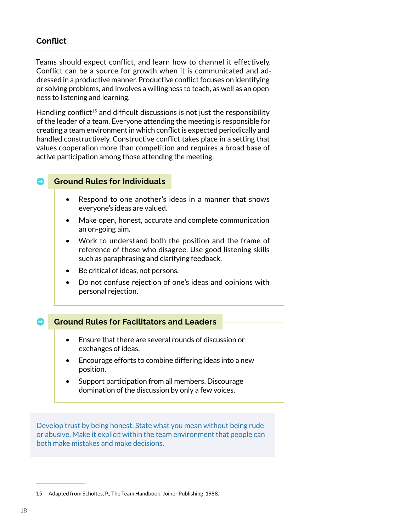#### **Conflict**

Teams should expect conflict, and learn how to channel it effectively. Conflict can be a source for growth when it is communicated and addressed in a productive manner. Productive conflict focuses on identifying or solving problems, and involves a willingness to teach, as well as an openness to listening and learning.

Handling conflict<sup>15</sup> and difficult discussions is not just the responsibility of the leader of a team. Everyone attending the meeting is responsible for creating a team environment in which conflict is expected periodically and handled constructively. Constructive conflict takes place in a setting that values cooperation more than competition and requires a broad base of active participation among those attending the meeting.

#### ➡ **Ground Rules for Individuals**

- Respond to one another's ideas in a manner that shows everyone's ideas are valued.
- Make open, honest, accurate and complete communication an on-going aim.
- Work to understand both the position and the frame of reference of those who disagree. Use good listening skills such as paraphrasing and clarifying feedback.
- Be critical of ideas, not persons.
- Do not confuse rejection of one's ideas and opinions with personal rejection.

#### ➡ **Ground Rules for Facilitators and Leaders**

- Ensure that there are several rounds of discussion or exchanges of ideas.
- Encourage efforts to combine differing ideas into a new position.
- Support participation from all members. Discourage domination of the discussion by only a few voices.

Develop trust by being honest. State what you mean without being rude or abusive. Make it explicit within the team environment that people can both make mistakes and make decisions.

<sup>15</sup> Adapted from Scholtes, P., The Team Handbook, Joiner Publishing, 1988.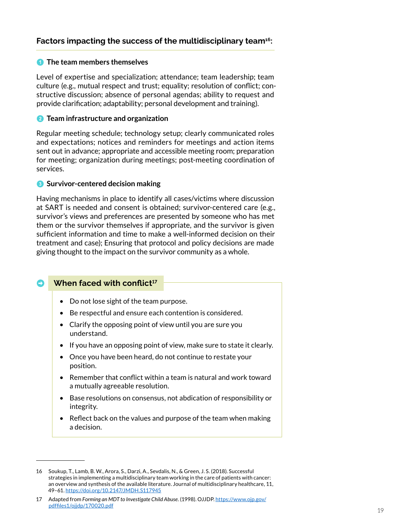#### **1** The team members themselves

Level of expertise and specialization; attendance; team leadership; team culture (e.g., mutual respect and trust; equality; resolution of conflict; constructive discussion; absence of personal agendas; ability to request and provide clarification; adaptability; personal development and training).

#### 2 **Team infrastructure and organization**

Regular meeting schedule; technology setup; clearly communicated roles and expectations; notices and reminders for meetings and action items sent out in advance; appropriate and accessible meeting room; preparation for meeting; organization during meetings; post-meeting coordination of services.

#### **3** Survivor-centered decision making

Having mechanisms in place to identify all cases/victims where discussion at SART is needed and consent is obtained; survivor-centered care (e.g., survivor's views and preferences are presented by someone who has met them or the survivor themselves if appropriate, and the survivor is given sufficient information and time to make a well-informed decision on their treatment and case); Ensuring that protocol and policy decisions are made giving thought to the impact on the survivor community as a whole.

#### **When faced with conflict<sup>17</sup>**

- Do not lose sight of the team purpose.
- Be respectful and ensure each contention is considered.
- Clarify the opposing point of view until you are sure you understand.
- If you have an opposing point of view, make sure to state it clearly.
- Once you have been heard, do not continue to restate your position.
- Remember that conflict within a team is natural and work toward a mutually agreeable resolution.
- Base resolutions on consensus, not abdication of responsibility or integrity.
- Reflect back on the values and purpose of the team when making a decision.

<sup>16</sup> Soukup, T., Lamb, B. W., Arora, S., Darzi, A., Sevdalis, N., & Green, J. S. (2018). Successful strategies in implementing a multidisciplinary team working in the care of patients with cancer: an overview and synthesis of the available literature. Journal of multidisciplinary healthcare, 11, 49–61. <https://doi.org/10.2147/JMDH.S117945>

<sup>17</sup> Adapted from *Forming an MDT to Investigate Child Abuse*. (1998). OJJDP. [https://www.ojp.gov/](https://www.ojp.gov/pdffiles1/ojjdp/170020.pdf) [pdffiles1/ojjdp/170020.pdf](https://www.ojp.gov/pdffiles1/ojjdp/170020.pdf)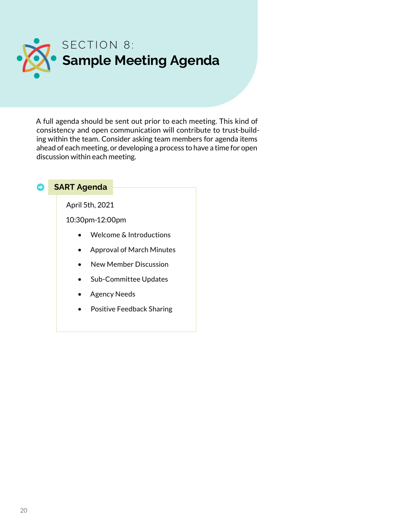<span id="page-19-0"></span>

A full agenda should be sent out prior to each meeting. This kind of consistency and open communication will contribute to trust-building within the team. Consider asking team members for agenda items ahead of each meeting, or developing a process to have a time for open discussion within each meeting.

#### ➡ **SART Agenda**

April 5th, 2021

10:30pm-12:00pm

- Welcome & Introductions
- Approval of March Minutes
- New Member Discussion
- Sub-Committee Updates
- Agency Needs
- Positive Feedback Sharing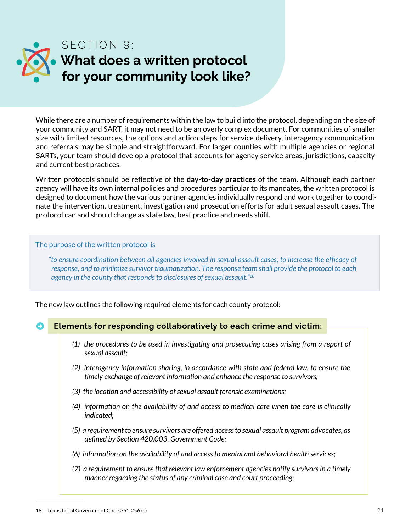<span id="page-20-0"></span>

While there are a number of requirements within the law to build into the protocol, depending on the size of your community and SART, it may not need to be an overly complex document. For communities of smaller size with limited resources, the options and action steps for service delivery, interagency communication and referrals may be simple and straightforward. For larger counties with multiple agencies or regional SARTs, your team should develop a protocol that accounts for agency service areas, jurisdictions, capacity and current best practices.

Written protocols should be reflective of the **day-to-day practices** of the team. Although each partner agency will have its own internal policies and procedures particular to its mandates, the written protocol is designed to document how the various partner agencies individually respond and work together to coordinate the intervention, treatment, investigation and prosecution efforts for adult sexual assault cases. The protocol can and should change as state law, best practice and needs shift.

#### The purpose of the written protocol is

*"to ensure coordination between all agencies involved in sexual assault cases, to increase the efficacy of response, and to minimize survivor traumatization. The response team shall provide the protocol to each agency in the county that responds to disclosures of sexual assault."18*

The new law outlines the following required elements for each county protocol:

### ➡ **Elements for responding collaboratively to each crime and victim:**

- *(1) the procedures to be used in investigating and prosecuting cases arising from a report of sexual assault;*
- *(2) interagency information sharing, in accordance with state and federal law, to ensure the timely exchange of relevant information and enhance the response to survivors;*
- *(3) the location and accessibility of sexual assault forensic examinations;*
- *(4) information on the availability of and access to medical care when the care is clinically indicated;*
- *(5) a requirement to ensure survivors are offered access to sexual assault program advocates, as defined by Section 420.003, Government Code;*
- *(6) information on the availability of and access to mental and behavioral health services;*
- *(7) a requirement to ensure that relevant law enforcement agencies notify survivors in a timely manner regarding the status of any criminal case and court proceeding;*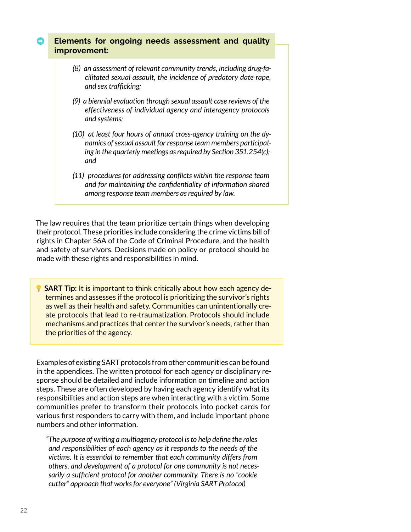#### ➡ **Elements for ongoing needs assessment and quality improvement:**

- *(8) an assessment of relevant community trends, including drug-facilitated sexual assault, the incidence of predatory date rape, and sex trafficking;*
- *(9) a biennial evaluation through sexual assault case reviews of the effectiveness of individual agency and interagency protocols and systems;*
- *(10) at least four hours of annual cross-agency training on the dynamics of sexual assault for response team members participating in the quarterly meetings as required by Section 351.254(c); and*
- *(11) procedures for addressing conflicts within the response team and for maintaining the confidentiality of information shared among response team members as required by law.*

The law requires that the team prioritize certain things when developing their protocol. These priorities include considering the crime victims bill of rights in Chapter 56A of the Code of Criminal Procedure, and the health and safety of survivors. Decisions made on policy or protocol should be made with these rights and responsibilities in mind.

**SART Tip:** It is important to think critically about how each agency determines and assesses if the protocol is prioritizing the survivor's rights as well as their health and safety. Communities can unintentionally create protocols that lead to re-traumatization. Protocols should include mechanisms and practices that center the survivor's needs, rather than the priorities of the agency.

Examples of existing SART protocols from other communities can be found in the appendices. The written protocol for each agency or disciplinary response should be detailed and include information on timeline and action steps. These are often developed by having each agency identify what its responsibilities and action steps are when interacting with a victim. Some communities prefer to transform their protocols into pocket cards for various first responders to carry with them, and include important phone numbers and other information.

*"The purpose of writing a multiagency protocol is to help define the roles and responsibilities of each agency as it responds to the needs of the victims. It is essential to remember that each community differs from others, and development of a protocol for one community is not necessarily a sufficient protocol for another community. There is no "cookie cutter" approach that works for everyone" (Virginia SART Protocol)*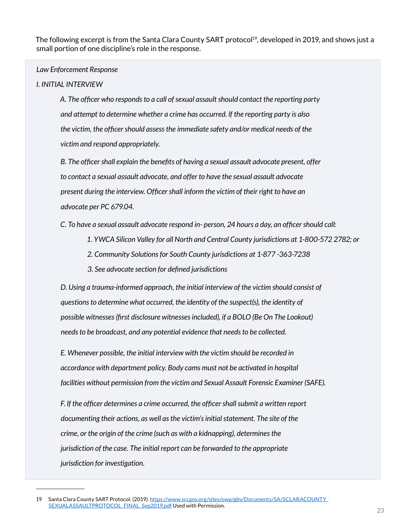The following excerpt is from the Santa Clara County SART protocol<sup>19</sup>, developed in 2019, and shows just a small portion of one discipline's role in the response.

#### *Law Enforcement Response*

#### *I. INITIAL INTERVIEW*

*A. The officer who responds to a call of sexual assault should contact the reporting party and attempt to determine whether a crime has occurred. lf the reporting party is also the victim, the officer should assess the immediate safety and/or medical needs of the victim and respond appropriately.*

*B. The officer shall explain the benefits of having a sexual assault advocate present, offer to contact a sexual assault advocate, and offer to have the sexual assault advocate present during the interview. Officer shall inform the victim of their right to have an advocate per PC 679.04.*

*C. To have a sexual assault advocate respond in- person, 24 hours a day, an officer should call:* 

- *1. YWCA Silicon Valley for all North and Central County jurisdictions at 1-800-572 2782; or*
- *2. Community Solutions for South County jurisdictions at 1-877 -363-7238*
- *3. See advocate section for defined jurisdictions*

*D. Using a trauma-informed approach, the initial interview of the victim should consist of questions to determine what occurred, the identity of the suspect(s), the identity of possible witnesses (first disclosure witnesses included), if a BOLO (Be On The Lookout) needs to be broadcast, and any potential evidence that needs to be collected.*

*E. Whenever possible, the initial interview with the victim should be recorded in accordance with department policy. Body cams must not be activated in hospital facilities without permission from the victim and Sexual Assault Forensic Examiner (SAFE).*

*F. lf the officer determines a crime occurred, the officer shall submit a written report documenting their actions, as well as the victim's initial statement. The site of the crime, or the origin of the crime (such as with a kidnapping), determines the jurisdiction of the case. The initial report can be forwarded to the appropriate jurisdiction for investigation.*

<sup>19</sup> Santa Clara County SART Protocol. (2019). [https://www.sccgov.org/sites/owp/gbv/Documents/SA/SCLARACOUNTY\\_](https://www.sccgov.org/sites/owp/gbv/Documents/SA/SCLARACOUNTY_SEXUALASSAULTPROTOCOL_FINAL_Sep2019.pdf) [SEXUALASSAULTPROTOCOL\\_FINAL\\_Sep2019.pdf](https://www.sccgov.org/sites/owp/gbv/Documents/SA/SCLARACOUNTY_SEXUALASSAULTPROTOCOL_FINAL_Sep2019.pdf) Used with Permission.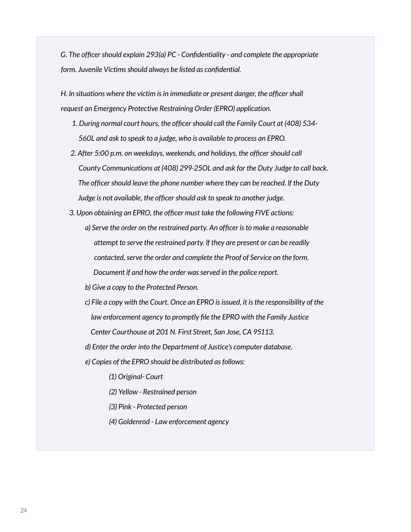*G. The officer should explain 293(a) PC - Confidentiality - and complete the appropriate form. Juvenile Victims should always be listed as confidential.*

*H. ln situations where the victim is in immediate or present danger, the officer shall request an Emergency Protective Restraining Order (EPRO) application.*

- *1. During normal court hours, the officer should call the Family Court at (408) 534- 560L and ask to speak to a judge, who is available to process an EPRO.*
- *2. After 5:00 p.m. on weekdays, weekends, and holidays, the officer should call County Communications at (408) 299-25OL and ask for the Duty Judge to call back. The officer should leave the phone number where they can be reached. lf the Duty Judge is not available, the officer should ask to speak to another judge.*
- *3. Upon obtaining an EPRO, the officer must take the following FIVE actions:*
	- *a) Serve the order on the restrained party. An officer is to make a reasonable attempt to serve the restrained party. lf they are present or can be readily contacted, serve the order and complete the Proof of Service on the form. Document if and how the order was served in the police report.*
	- *b) Give a copy to the Protected Person.*
	- *c) File a copy with the Court. Once an EPRO is issued, it is the responsibility of the law enforcement agency to promptly file the EPRO with the Family Justice Center Courthouse at 201 N. First Street, San Jose, CA 95113.*
	- *d) Enter the order into the Department of Justice's computer database.*
	- *e) Copies of the EPRO should be distributed as follows:*

*(1) Original- Court*

- *(2) Yellow Restrained person*
- *{3} Pink Protected person*
- *(4) Goldenrod Law enforcement agency*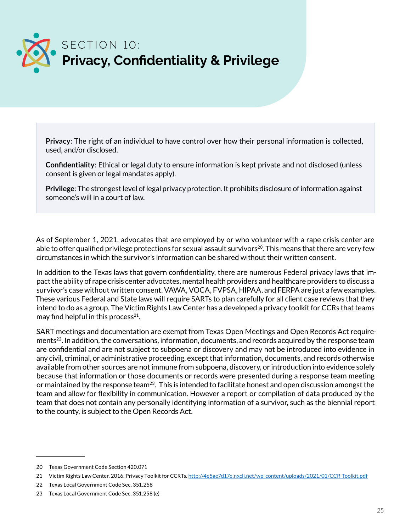<span id="page-24-0"></span>

**Privacy**: The right of an individual to have control over how their personal information is collected, used, and/or disclosed.

**Confidentiality**: Ethical or legal duty to ensure information is kept private and not disclosed (unless consent is given or legal mandates apply).

**Privilege**: The strongest level of legal privacy protection. It prohibits disclosure of information against someone's will in a court of law.

As of September 1, 2021, advocates that are employed by or who volunteer with a rape crisis center are able to offer qualified privilege protections for sexual assault survivors<sup>20</sup>. This means that there are very few circumstances in which the survivor's information can be shared without their written consent.

In addition to the Texas laws that govern confidentiality, there are numerous Federal privacy laws that impact the ability of rape crisis center advocates, mental health providers and healthcare providers to discuss a survivor's case without written consent. VAWA, VOCA, FVPSA, HIPAA, and FERPA are just a few examples. These various Federal and State laws will require SARTs to plan carefully for all client case reviews that they intend to do as a group. The Victim Rights Law Center has a developed a privacy toolkit for CCRs that teams may find helpful in this process $21$ .

SART meetings and documentation are exempt from Texas Open Meetings and Open Records Act requirements<sup>22</sup>. In addition, the conversations, information, documents, and records acquired by the response team are confidential and are not subject to subpoena or discovery and may not be introduced into evidence in any civil, criminal, or administrative proceeding, except that information, documents, and records otherwise available from other sources are not immune from subpoena, discovery, or introduction into evidence solely because that information or those documents or records were presented during a response team meeting or maintained by the response team<sup>23</sup>. This is intended to facilitate honest and open discussion amongst the team and allow for flexibility in communication. However a report or compilation of data produced by the team that does not contain any personally identifying information of a survivor, such as the biennial report to the county, is subject to the Open Records Act.

<sup>20</sup> Texas Government Code Section 420.071

<sup>21</sup> Victim Rights Law Center. 2016. Privacy Toolkit for CCRTs. <http://4e5ae7d17e.nxcli.net/wp-content/uploads/2021/01/CCR-Toolkit.pdf>

<sup>22</sup> Texas Local Government Code Sec. 351.258

<sup>23</sup> Texas Local Government Code Sec. 351.258 (e)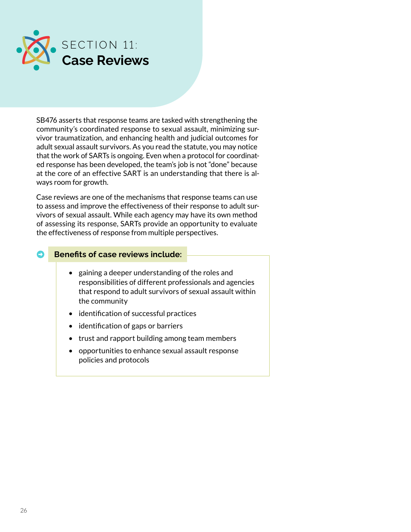<span id="page-25-0"></span>

SB476 asserts that response teams are tasked with strengthening the community's coordinated response to sexual assault, minimizing survivor traumatization, and enhancing health and judicial outcomes for adult sexual assault survivors. As you read the statute, you may notice that the work of SARTs is ongoing. Even when a protocol for coordinated response has been developed, the team's job is not "done" because at the core of an effective SART is an understanding that there is always room for growth.

Case reviews are one of the mechanisms that response teams can use to assess and improve the effectiveness of their response to adult survivors of sexual assault. While each agency may have its own method of assessing its response, SARTs provide an opportunity to evaluate the effectiveness of response from multiple perspectives.

#### ➡ **Benefits of case reviews include:**

- gaining a deeper understanding of the roles and responsibilities of different professionals and agencies that respond to adult survivors of sexual assault within the community
- identification of successful practices
- identification of gaps or barriers
- trust and rapport building among team members
- opportunities to enhance sexual assault response policies and protocols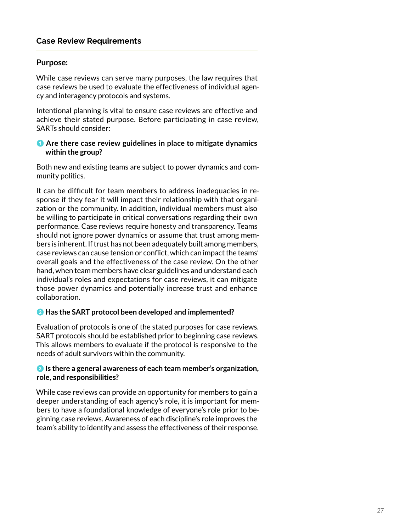#### **Case Review Requirements**

#### **Purpose:**

While case reviews can serve many purposes, the law requires that case reviews be used to evaluate the effectiveness of individual agency and interagency protocols and systems.

Intentional planning is vital to ensure case reviews are effective and achieve their stated purpose. Before participating in case review, SARTs should consider:

#### 1 **Are there case review guidelines in place to mitigate dynamics within the group?**

Both new and existing teams are subject to power dynamics and community politics.

It can be difficult for team members to address inadequacies in response if they fear it will impact their relationship with that organization or the community. In addition, individual members must also be willing to participate in critical conversations regarding their own performance. Case reviews require honesty and transparency. Teams should not ignore power dynamics or assume that trust among members is inherent. If trust has not been adequately built among members, case reviews can cause tension or conflict, which can impact the teams' overall goals and the effectiveness of the case review. On the other hand, when team members have clear guidelines and understand each individual's roles and expectations for case reviews, it can mitigate those power dynamics and potentially increase trust and enhance collaboration.

#### 2 **Has the SART protocol been developed and implemented?**

Evaluation of protocols is one of the stated purposes for case reviews. SART protocols should be established prior to beginning case reviews. This allows members to evaluate if the protocol is responsive to the needs of adult survivors within the community.

#### **3** Is there a general awareness of each team member's organization, **role, and responsibilities?**

While case reviews can provide an opportunity for members to gain a deeper understanding of each agency's role, it is important for members to have a foundational knowledge of everyone's role prior to beginning case reviews. Awareness of each discipline's role improves the team's ability to identify and assess the effectiveness of their response.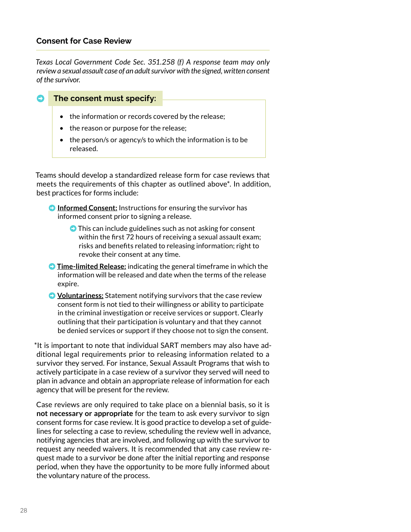#### **Consent for Case Review**

*Texas Local Government Code Sec. 351.258 (f) A response team may only review a sexual assault case of an adult survivor with the signed, written consent of the survivor.*

#### ➡ **The consent must specify:**

- the information or records covered by the release;
- the reason or purpose for the release;
- the person/s or agency/s to which the information is to be released.

Teams should develop a standardized release form for case reviews that meets the requirements of this chapter as outlined above\*. In addition, best practices for forms include:

- **Informed Consent:** Instructions for ensuring the survivor has informed consent prior to signing a release.
	- $\bullet$  This can include guidelines such as not asking for consent within the first 72 hours of receiving a sexual assault exam; risks and benefits related to releasing information; right to revoke their consent at any time.
- ➡ **Time-limited Release:** indicating the general timeframe in which the information will be released and date when the terms of the release expire.
- **Voluntariness:** Statement notifying survivors that the case review consent form is not tied to their willingness or ability to participate in the criminal investigation or receive services or support. Clearly outlining that their participation is voluntary and that they cannot be denied services or support if they choose not to sign the consent.

\*It is important to note that individual SART members may also have additional legal requirements prior to releasing information related to a survivor they served. For instance, Sexual Assault Programs that wish to actively participate in a case review of a survivor they served will need to plan in advance and obtain an appropriate release of information for each agency that will be present for the review.

Case reviews are only required to take place on a biennial basis, so it is **not necessary or appropriate** for the team to ask every survivor to sign consent forms for case review. It is good practice to develop a set of guidelines for selecting a case to review, scheduling the review well in advance, notifying agencies that are involved, and following up with the survivor to request any needed waivers. It is recommended that any case review request made to a survivor be done after the initial reporting and response period, when they have the opportunity to be more fully informed about the voluntary nature of the process.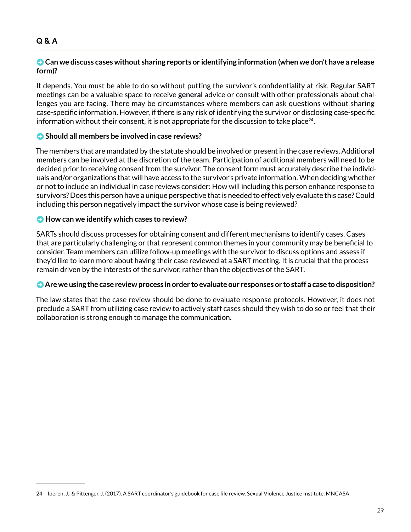#### **Q & A**

#### ➡ **Can we discuss cases without sharing reports or identifying information (when we don't have a release form)?**

It depends. You must be able to do so without putting the survivor's confidentiality at risk. Regular SART meetings can be a valuable space to receive **general** advice or consult with other professionals about challenges you are facing. There may be circumstances where members can ask questions without sharing case-specific information. However, if there is any risk of identifying the survivor or disclosing case-specific information without their consent, it is not appropriate for the discussion to take place<sup>24</sup>.

#### ➡ **Should all members be involved in case reviews?**

The members that are mandated by the statute should be involved or present in the case reviews. Additional members can be involved at the discretion of the team. Participation of additional members will need to be decided prior to receiving consent from the survivor. The consent form must accurately describe the individuals and/or organizations that will have access to the survivor's private information. When deciding whether or not to include an individual in case reviews consider: How will including this person enhance response to survivors? Does this person have a unique perspective that is needed to effectively evaluate this case? Could including this person negatively impact the survivor whose case is being reviewed?

#### ➡ **How can we identify which cases to review?**

SARTs should discuss processes for obtaining consent and different mechanisms to identify cases. Cases that are particularly challenging or that represent common themes in your community may be beneficial to consider. Team members can utilize follow-up meetings with the survivor to discuss options and assess if they'd like to learn more about having their case reviewed at a SART meeting. It is crucial that the process remain driven by the interests of the survivor, rather than the objectives of the SART.

#### ➡ **Are we using the case review process in order to evaluate our responses or to staff a case to disposition?**

The law states that the case review should be done to evaluate response protocols. However, it does not preclude a SART from utilizing case review to actively staff cases should they wish to do so or feel that their collaboration is strong enough to manage the communication.

<sup>24</sup> Iperen, J., & Pittenger, J. (2017). A SART coordinator's guidebook for case file review. Sexual Violence Justice Institute. MNCASA.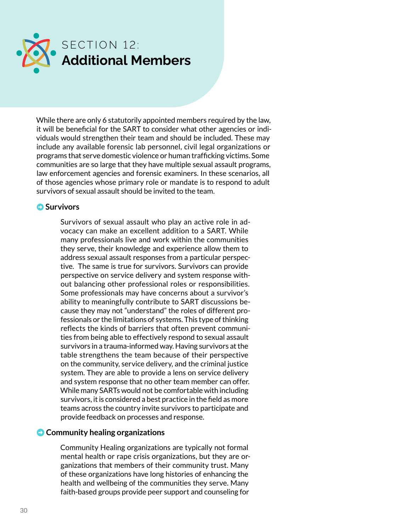<span id="page-29-0"></span>

While there are only 6 statutorily appointed members required by the law, it will be beneficial for the SART to consider what other agencies or individuals would strengthen their team and should be included. These may include any available forensic lab personnel, civil legal organizations or programs that serve domestic violence or human trafficking victims. Some communities are so large that they have multiple sexual assault programs, law enforcement agencies and forensic examiners. In these scenarios, all of those agencies whose primary role or mandate is to respond to adult survivors of sexual assault should be invited to the team.

#### **O** Survivors

Survivors of sexual assault who play an active role in advocacy can make an excellent addition to a SART. While many professionals live and work within the communities they serve, their knowledge and experience allow them to address sexual assault responses from a particular perspective. The same is true for survivors. Survivors can provide perspective on service delivery and system response without balancing other professional roles or responsibilities. Some professionals may have concerns about a survivor's ability to meaningfully contribute to SART discussions because they may not "understand" the roles of different professionals or the limitations of systems. This type of thinking reflects the kinds of barriers that often prevent communities from being able to effectively respond to sexual assault survivors in a trauma-informed way. Having survivors at the table strengthens the team because of their perspective on the community, service delivery, and the criminal justice system. They are able to provide a lens on service delivery and system response that no other team member can offer. While many SARTs would not be comfortable with including survivors, it is considered a best practice in the field as more teams across the country invite survivors to participate and provide feedback on processes and response.

#### ➡ **Community healing organizations**

Community Healing organizations are typically not formal mental health or rape crisis organizations, but they are organizations that members of their community trust. Many of these organizations have long histories of enhancing the health and wellbeing of the communities they serve. Many faith-based groups provide peer support and counseling for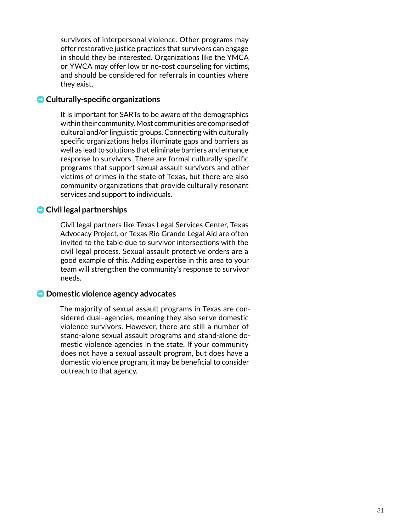survivors of interpersonal violence. Other programs may offer restorative justice practices that survivors can engage in should they be interested. Organizations like the YMCA or YWCA may offer low or no-cost counseling for victims, and should be considered for referrals in counties where they exist.

#### ➡ **Culturally-specific organizations**

It is important for SARTs to be aware of the demographics within their community. Most communities are comprised of cultural and/or linguistic groups. Connecting with culturally specific organizations helps illuminate gaps and barriers as well as lead to solutions that eliminate barriers and enhance response to survivors. There are formal culturally specific programs that support sexual assault survivors and other victims of crimes in the state of Texas, but there are also community organizations that provide culturally resonant services and support to individuals.

#### ➡ **Civil legal partnerships**

Civil legal partners like Texas Legal Services Center, Texas Advocacy Project, or Texas Rio Grande Legal Aid are often invited to the table due to survivor intersections with the civil legal process. Sexual assault protective orders are a good example of this. Adding expertise in this area to your team will strengthen the community's response to survivor needs.

#### ➡ **Domestic violence agency advocates**

The majority of sexual assault programs in Texas are considered dual–agencies, meaning they also serve domestic violence survivors. However, there are still a number of stand-alone sexual assault programs and stand-alone domestic violence agencies in the state. If your community does not have a sexual assault program, but does have a domestic violence program, it may be beneficial to consider outreach to that agency.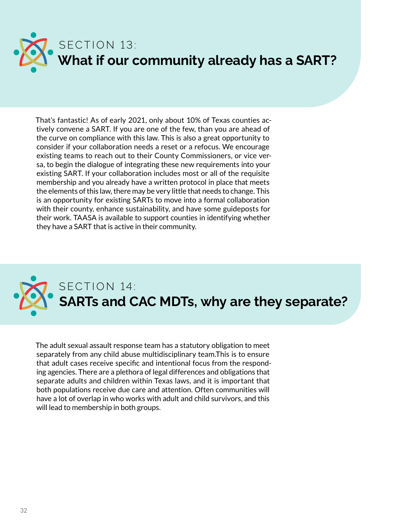<span id="page-31-0"></span>

That's fantastic! As of early 2021, only about 10% of Texas counties actively convene a SART. If you are one of the few, than you are ahead of the curve on compliance with this law. This is also a great opportunity to consider if your collaboration needs a reset or a refocus. We encourage existing teams to reach out to their County Commissioners, or vice versa, to begin the dialogue of integrating these new requirements into your existing SART. If your collaboration includes most or all of the requisite membership and you already have a written protocol in place that meets the elements of this law, there may be very little that needs to change. This is an opportunity for existing SARTs to move into a formal collaboration with their county, enhance sustainability, and have some guideposts for their work. TAASA is available to support counties in identifying whether they have a SART that is active in their community.



The adult sexual assault response team has a statutory obligation to meet separately from any child abuse multidisciplinary team.This is to ensure that adult cases receive specific and intentional focus from the responding agencies. There are a plethora of legal differences and obligations that separate adults and children within Texas laws, and it is important that both populations receive due care and attention. Often communities will have a lot of overlap in who works with adult and child survivors, and this will lead to membership in both groups.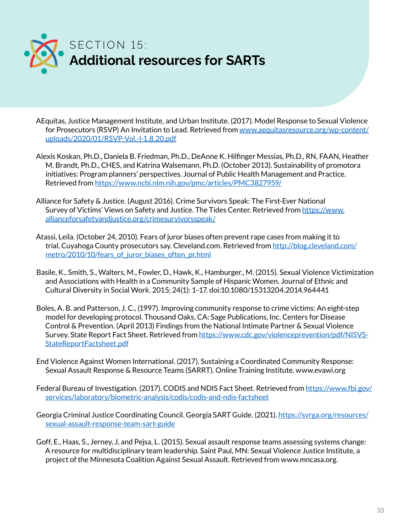<span id="page-32-0"></span>

AEquitas, Justice Management Institute, and Urban Institute. (2017). Model Response to Sexual Violence for Prosecutors (RSVP) An Invitation to Lead. Retrieved from [www.aequitasresource.org/wp-content/](https://aequitasresource.org/wp-content/uploads/2020/01/RSVP-Vol.-I-1.8.20.pdf) [uploads/2020/01/RSVP-Vol.-I-1.8.20.pdf](https://aequitasresource.org/wp-content/uploads/2020/01/RSVP-Vol.-I-1.8.20.pdf)

- Alexis Koskan, Ph.D., Daniela B. Friedman, Ph.D., DeAnne K. Hilfinger Messias, Ph.D., RN, FAAN, Heather M. Brandt, Ph.D., CHES, and Katrina Walsemann, Ph.D. (October 2013). Sustainability of promotora initiatives: Program planners' perspectives. Journal of Public Health Management and Practice. Retrieved from <https://www.ncbi.nlm.nih.gov/pmc/articles/PMC3827959/>
- Alliance for Safety & Justice. (August 2016). Crime Survivors Speak: The First-Ever National Survey of Victims' Views on Safety and Justice. The Tides Center. Retrieved from [https://www.](https://www.allianceforsafetyandjustice.org/crimesurvivorsspeak/) [allianceforsafetyandjustice.org/crimesurvivorsspeak/](https://www.allianceforsafetyandjustice.org/crimesurvivorsspeak/)
- Atassi, Leila. (October 24, 2010). Fears of juror biases often prevent rape cases from making it to trial, Cuyahoga County prosecutors say. Cleveland.com. Retrieved from [http://blog.cleveland.com/](http://blog.cleveland.com/metro/2010/10/fears_of_juror_biases_often_pr.html) [metro/2010/10/fears\\_of\\_juror\\_biases\\_often\\_pr.html](http://blog.cleveland.com/metro/2010/10/fears_of_juror_biases_often_pr.html)
- Basile, K., Smith, S., Walters, M., Fowler, D., Hawk, K., Hamburger., M. (2015). Sexual Violence Victimization and Associations with Health in a Community Sample of Hispanic Women. Journal of Ethnic and Cultural Diversity in Social Work. 2015; 24(1): 1–17. doi:10.1080/15313204.2014.964441
- Boles, A. B. and Patterson, J. C., (1997). Improving community response to crime victims: An eight-step model for developing protocol. Thousand Oaks, CA: Sage Publications, Inc. Centers for Disease Control & Prevention. (April 2013) Findings from the National Intimate Partner & Sexual Violence Survey. State Report Fact Sheet. Retrieved from [https://www.cdc.gov/violenceprevention/pdf/NISVS-](https://www.cdc.gov/violenceprevention/pdf/NISVS-StateReportFactsheet.pdf)[StateReportFactsheet.pdf](https://www.cdc.gov/violenceprevention/pdf/NISVS-StateReportFactsheet.pdf)
- End Violence Against Women International. (2017). Sustaining a Coordinated Community Response: Sexual Assault Response & Resource Teams (SARRT). Online Training Institute. www.evawi.org
- Federal Bureau of Investigation. (2017). CODIS and NDIS Fact Sheet. Retrieved from [https://www.fbi.gov/](https://www.fbi.gov/services/laboratory/biometric-analysis/codis/codis-and-ndis-factsheet) [services/laboratory/biometric-analysis/codis/codis-and-ndis-factsheet](https://www.fbi.gov/services/laboratory/biometric-analysis/codis/codis-and-ndis-factsheet)
- Georgia Criminal Justice Coordinating Council. Georgia SART Guide. (2021). [https://svrga.org/resources/](https://svrga.org/resources/sexual-assault-response-team-sart-guide) [sexual-assault-response-team-sart-guide](https://svrga.org/resources/sexual-assault-response-team-sart-guide)
- Goff, E., Haas, S., Jerney, J, and Pejsa, L. (2015). Sexual assault response teams assessing systems change: A resource for multidisciplinary team leadership. Saint Paul, MN: Sexual Violence Justice Institute, a project of the Minnesota Coalition Against Sexual Assault. Retrieved from www.mncasa.org.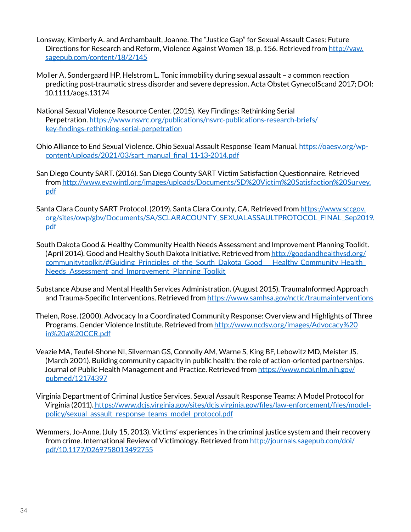- Lonsway, Kimberly A. and Archambault, Joanne. The "Justice Gap" for Sexual Assault Cases: Future Directions for Research and Reform, Violence Against Women 18, p. 156. Retrieved from [http://vaw.](http://vaw.sagepub.com/content/18/2/145) [sagepub.com/content/18/2/145](http://vaw.sagepub.com/content/18/2/145)
- Moller A, Sondergaard HP, Helstrom L. Tonic immobility during sexual assault a common reaction predicting post-traumatic stress disorder and severe depression. Acta Obstet GynecolScand 2017; DOI: 10.1111/aogs.13174
- National Sexual Violence Resource Center. (2015). Key Findings: Rethinking Serial Perpetration. [https://www.nsvrc.org/publications/nsvrc-publications-research-briefs/](https://www.nsvrc.org/publications/nsvrc-publications-research-briefs/key-findings-rethinking-serial-perpetration) [key-findings-rethinking-serial-perpetration](https://www.nsvrc.org/publications/nsvrc-publications-research-briefs/key-findings-rethinking-serial-perpetration)
- Ohio Alliance to End Sexual Violence. Ohio Sexual Assault Response Team Manual. [https://oaesv.org/wp](https://oaesv.org/wp-content/uploads/2021/03/sart_manual_final_11-13-2014.pdf)[content/uploads/2021/03/sart\\_manual\\_final\\_11-13-2014.pdf](https://oaesv.org/wp-content/uploads/2021/03/sart_manual_final_11-13-2014.pdf)
- San Diego County SART. (2016). San Diego County SART Victim Satisfaction Questionnaire. Retrieved from [http://www.evawintl.org/images/uploads/Documents/SD%20Victim%20Satisfaction%20Survey.](http://www.evawintl.org/images/uploads/Documents/SD%20Victim%20Satisfaction%20Survey.pdf) [pdf](http://www.evawintl.org/images/uploads/Documents/SD%20Victim%20Satisfaction%20Survey.pdf)
- Santa Clara County SART Protocol. (2019). Santa Clara County, CA. Retrieved from [https://www.sccgov.](https://www.sccgov.org/sites/owp/gbv/Documents/SA/SCLARACOUNTY_SEXUALASSAULTPROTOCOL_FINAL_Sep2019.pdf) [org/sites/owp/gbv/Documents/SA/SCLARACOUNTY\\_SEXUALASSAULTPROTOCOL\\_FINAL\\_Sep2019.](https://www.sccgov.org/sites/owp/gbv/Documents/SA/SCLARACOUNTY_SEXUALASSAULTPROTOCOL_FINAL_Sep2019.pdf) [pdf](https://www.sccgov.org/sites/owp/gbv/Documents/SA/SCLARACOUNTY_SEXUALASSAULTPROTOCOL_FINAL_Sep2019.pdf)
- South Dakota Good & Healthy Community Health Needs Assessment and Improvement Planning Toolkit. (April 2014). Good and Healthy South Dakota Initiative. Retrieved from http://goodandhealthysd.org/ communitytoolkit/#Guiding\_Principles\_of\_the\_South\_Dakota\_Good\_\_\_Healthy\_Community\_Health\_ Needs Assessment and Improvement Planning Toolkit
- Substance Abuse and Mental Health Services Administration. (August 2015). TraumaInformed Approach and Trauma-Specific Interventions. Retrieved from <https://www.samhsa.gov/nctic/traumainterventions>
- Thelen, Rose. (2000). Advocacy In a Coordinated Community Response: Overview and Highlights of Three Programs. Gender Violence Institute. Retrieved from [http://www.ncdsv.org/images/Advocacy%20](http://www.ncdsv.org/images/Advocacy%20in%20a%20CCR.pdf) [in%20a%20CCR.pdf](http://www.ncdsv.org/images/Advocacy%20in%20a%20CCR.pdf)
- Veazie MA, Teufel-Shone NI, Silverman GS, Connolly AM, Warne S, King BF, Lebowitz MD, Meister JS. (March 2001). Building community capacity in public health: the role of action-oriented partnerships. Journal of Public Health Management and Practice. Retrieved from [https://www.ncbi.nlm.nih.gov/](https://www.ncbi.nlm.nih.gov/pubmed/12174397) [pubmed/12174397](https://www.ncbi.nlm.nih.gov/pubmed/12174397)
- Virginia Department of Criminal Justice Services. Sexual Assault Response Teams: A Model Protocol for Virginia (2011). [https://www.dcjs.virginia.gov/sites/dcjs.virginia.gov/files/law-enforcement/files/model](https://www.dcjs.virginia.gov/sites/dcjs.virginia.gov/files/law-enforcement/files/model-policy/sexual_assault_response_teams_model_protocol.pdf)[policy/sexual\\_assault\\_response\\_teams\\_model\\_protocol.pdf](https://www.dcjs.virginia.gov/sites/dcjs.virginia.gov/files/law-enforcement/files/model-policy/sexual_assault_response_teams_model_protocol.pdf)
- Wemmers, Jo-Anne. (July 15, 2013). Victims' experiences in the criminal justice system and their recovery from crime. International Review of Victimology. Retrieved from [http://journals.sagepub.com/doi/](http://journals.sagepub.com/doi/pdf/10.1177/0269758013492755) [pdf/10.1177/0269758013492755](http://journals.sagepub.com/doi/pdf/10.1177/0269758013492755)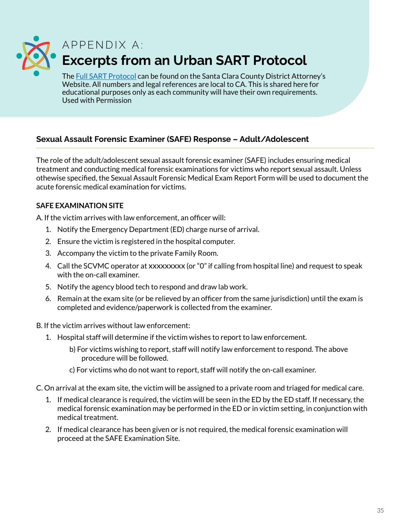<span id="page-34-0"></span>

## APPENDIX A: **Excerpts from an Urban SART Protocol**

The [Full SART Protocol](https://www.sccgov.org/sites/da/prosecution/DistrictAttorneyDepartments/Documents/SCC%20SA%20Protocol%202019.pdf) can be found on the Santa Clara County District Attorney's Website. All numbers and legal references are local to CA. This is shared here for educational purposes only as each community will have their own requirements. Used with Permission

### **Sexual Assault Forensic Examiner (SAFE) Response – Adult/Adolescent**

The role of the adult/adolescent sexual assault forensic examiner (SAFE) includes ensuring medical treatment and conducting medical forensic examinations for victims who report sexual assault. Unless othewise specified, the Sexual Assault Forensic Medical Exam Report Form will be used to document the acute forensic medical examination for victims.

#### **SAFE EXAMINATION SITE**

A. If the victim arrives with law enforcement, an officer will:

- 1. Notify the Emergency Department (ED) charge nurse of arrival.
- 2. Ensure the victim is registered in the hospital computer.
- 3. Accompany the victim to the private Family Room.
- 4. Call the SCVMC operator at xxxxxxxxx (or "0" if calling from hospital line) and request to speak with the on-call examiner.
- 5. Notify the agency blood tech to respond and draw lab work.
- 6. Remain at the exam site (or be relieved by an officer from the same jurisdiction) until the exam is completed and evidence/paperwork is collected from the examiner.
- B. If the victim arrives without law enforcement:
	- 1. Hospital staff will determine if the victim wishes to report to law enforcement.
		- b) For victims wishing to report, staff will notify law enforcement to respond. The above procedure will be followed.
		- c) For victims who do not want to report, staff will notify the on-call examiner.
- C. On arrival at the exam site, the victim will be assigned to a private room and triaged for medical care.
	- 1. If medical clearance is required, the victim will be seen in the ED by the ED staff. If necessary, the medical forensic examination may be performed in the ED or in victim setting, in conjunction with medical treatment.
	- 2. If medical clearance has been given or is not required, the medical forensic examination will proceed at the SAFE Examination Site.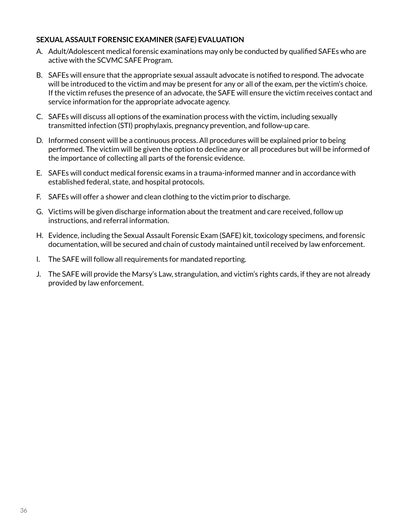#### **SEXUAL ASSAULT FORENSIC EXAMINER (SAFE) EVALUATION**

- A. Adult/Adolescent medical forensic examinations may only be conducted by qualified SAFEs who are active with the SCVMC SAFE Program.
- B. SAFEs will ensure that the appropriate sexual assault advocate is notified to respond. The advocate will be introduced to the victim and may be present for any or all of the exam, per the victim's choice. If the victim refuses the presence of an advocate, the SAFE will ensure the victim receives contact and service information for the appropriate advocate agency.
- C. SAFEs will discuss all options of the examination process with the victim, including sexually transmitted infection (STI) prophylaxis, pregnancy prevention, and follow-up care.
- D. Informed consent will be a continuous process. All procedures will be explained prior to being performed. The victim will be given the option to decline any or all procedures but will be informed of the importance of collecting all parts of the forensic evidence.
- E. SAFEs will conduct medical forensic exams in a trauma-informed manner and in accordance with established federal, state, and hospital protocols.
- F. SAFEs will offer a shower and clean clothing to the victim prior to discharge.
- G. Victims will be given discharge information about the treatment and care received, follow up instructions, and referral information.
- H. Evidence, including the Sexual Assault Forensic Exam (SAFE) kit, toxicology specimens, and forensic documentation, will be secured and chain of custody maintained until received by law enforcement.
- I. The SAFE will follow all requirements for mandated reporting.
- J. The SAFE will provide the Marsy's Law, strangulation, and victim's rights cards, if they are not already provided by law enforcement.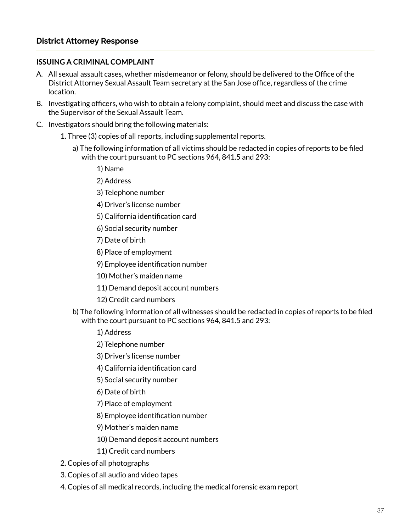#### **ISSUING A CRIMINAL COMPLAINT**

- A. All sexual assault cases, whether misdemeanor or felony, should be delivered to the Office of the District Attorney Sexual Assault Team secretary at the San Jose office, regardless of the crime location.
- B. Investigating officers, who wish to obtain a felony complaint, should meet and discuss the case with the Supervisor of the Sexual Assault Team.
- C. Investigators should bring the following materials:
	- 1. Three (3) copies of all reports, including supplemental reports.
		- a) The following information of all victims should be redacted in copies of reports to be filed with the court pursuant to PC sections 964, 841.5 and 293:
			- 1) Name
			- 2) Address
			- 3) Telephone number
			- 4) Driver's license number
			- 5) California identification card
			- 6) Social security number
			- 7) Date of birth
			- 8) Place of employment
			- 9) Employee identification number
			- 10) Mother's maiden name
			- 11) Demand deposit account numbers
			- 12) Credit card numbers
		- b) The following information of all witnesses should be redacted in copies of reports to be filed with the court pursuant to PC sections 964, 841.5 and 293:
			- 1) Address
			- 2) Telephone number
			- 3) Driver's license number
			- 4) California identification card
			- 5) Social security number
			- 6) Date of birth
			- 7) Place of employment
			- 8) Employee identification number
			- 9) Mother's maiden name
			- 10) Demand deposit account numbers
			- 11) Credit card numbers
	- 2. Copies of all photographs
	- 3. Copies of all audio and video tapes
	- 4. Copies of all medical records, including the medical forensic exam report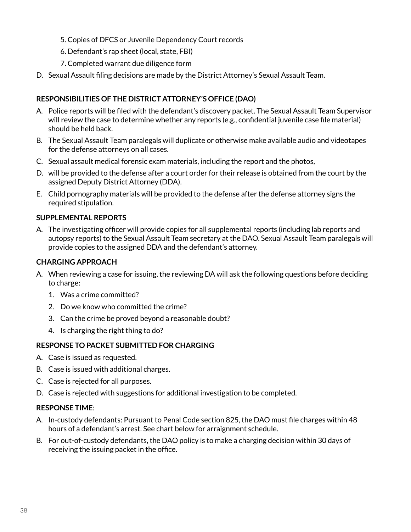- 5. Copies of DFCS or Juvenile Dependency Court records
- 6. Defendant's rap sheet (local, state, FBI)
- 7. Completed warrant due diligence form
- D. Sexual Assault filing decisions are made by the District Attorney's Sexual Assault Team.

#### **RESPONSIBILITIES OF THE DISTRICT ATTORNEY'S OFFICE (DAO)**

- A. Police reports will be filed with the defendant's discovery packet. The Sexual Assault Team Supervisor will review the case to determine whether any reports (e.g., confidential juvenile case file material) should be held back.
- B. The Sexual Assault Team paralegals will duplicate or otherwise make available audio and videotapes for the defense attorneys on all cases.
- C. Sexual assault medical forensic exam materials, including the report and the photos,
- D. will be provided to the defense after a court order for their release is obtained from the court by the assigned Deputy District Attorney (DDA).
- E. Child pornography materials will be provided to the defense after the defense attorney signs the required stipulation.

#### **SUPPLEMENTAL REPORTS**

A. The investigating officer will provide copies for all supplemental reports (including lab reports and autopsy reports) to the Sexual Assault Team secretary at the DAO. Sexual Assault Team paralegals will provide copies to the assigned DDA and the defendant's attorney.

#### **CHARGING APPROACH**

- A. When reviewing a case for issuing, the reviewing DA will ask the following questions before deciding to charge:
	- 1. Was a crime committed?
	- 2. Do we know who committed the crime?
	- 3. Can the crime be proved beyond a reasonable doubt?
	- 4. Is charging the right thing to do?

#### **RESPONSE TO PACKET SUBMITTED FOR CHARGING**

- A. Case is issued as requested.
- B. Case is issued with additional charges.
- C. Case is rejected for all purposes.
- D. Case is rejected with suggestions for additional investigation to be completed.

#### **RESPONSE TIME**:

- A. In-custody defendants: Pursuant to Penal Code section 825, the DAO must file charges within 48 hours of a defendant's arrest. See chart below for arraignment schedule.
- B. For out-of-custody defendants, the DAO policy is to make a charging decision within 30 days of receiving the issuing packet in the office.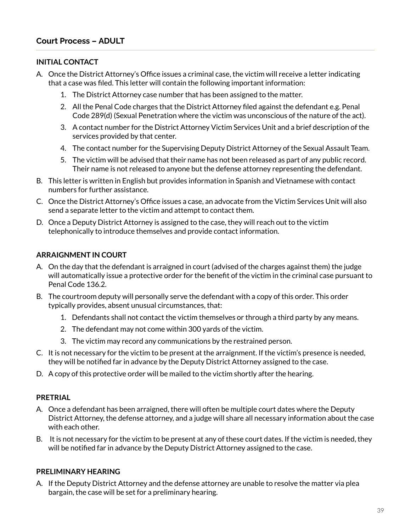#### **INITIAL CONTACT**

- A. Once the District Attorney's Office issues a criminal case, the victim will receive a letter indicating that a case was filed. This letter will contain the following important information:
	- 1. The District Attorney case number that has been assigned to the matter.
	- 2. All the Penal Code charges that the District Attorney filed against the defendant e.g. Penal Code 289(d) (Sexual Penetration where the victim was unconscious of the nature of the act).
	- 3. A contact number for the District Attorney Victim Services Unit and a brief description of the services provided by that center.
	- 4. The contact number for the Supervising Deputy District Attorney of the Sexual Assault Team.
	- 5. The victim will be advised that their name has not been released as part of any public record. Their name is not released to anyone but the defense attorney representing the defendant.
- B. This letter is written in English but provides information in Spanish and Vietnamese with contact numbers for further assistance.
- C. Once the District Attorney's Office issues a case, an advocate from the Victim Services Unit will also send a separate letter to the victim and attempt to contact them.
- D. Once a Deputy District Attorney is assigned to the case, they will reach out to the victim telephonically to introduce themselves and provide contact information.

#### **ARRAIGNMENT IN COURT**

- A. On the day that the defendant is arraigned in court (advised of the charges against them) the judge will automatically issue a protective order for the benefit of the victim in the criminal case pursuant to Penal Code 136.2.
- B. The courtroom deputy will personally serve the defendant with a copy of this order. This order typically provides, absent unusual circumstances, that:
	- 1. Defendants shall not contact the victim themselves or through a third party by any means.
	- 2. The defendant may not come within 300 yards of the victim.
	- 3. The victim may record any communications by the restrained person.
- C. It is not necessary for the victim to be present at the arraignment. If the victim's presence is needed, they will be notified far in advance by the Deputy District Attorney assigned to the case.
- D. A copy of this protective order will be mailed to the victim shortly after the hearing.

#### **PRETRIAL**

- A. Once a defendant has been arraigned, there will often be multiple court dates where the Deputy District Attorney, the defense attorney, and a judge will share all necessary information about the case with each other.
- B. It is not necessary for the victim to be present at any of these court dates. If the victim is needed, they will be notified far in advance by the Deputy District Attorney assigned to the case.

#### **PRELIMINARY HEARING**

A. If the Deputy District Attorney and the defense attorney are unable to resolve the matter via plea bargain, the case will be set for a preliminary hearing.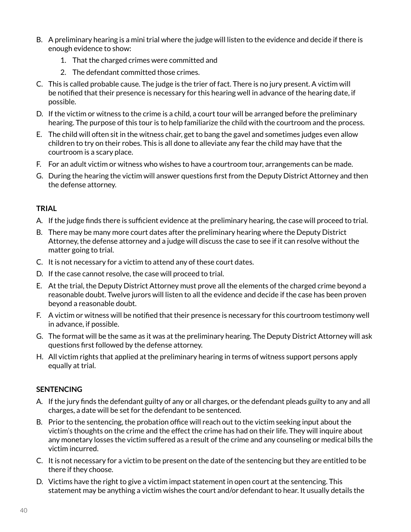- B. A preliminary hearing is a mini trial where the judge will listen to the evidence and decide if there is enough evidence to show:
	- 1. That the charged crimes were committed and
	- 2. The defendant committed those crimes.
- C. This is called probable cause. The judge is the trier of fact. There is no jury present. A victim will be notified that their presence is necessary for this hearing well in advance of the hearing date, if possible.
- D. If the victim or witness to the crime is a child, a court tour will be arranged before the preliminary hearing. The purpose of this tour is to help familiarize the child with the courtroom and the process.
- E. The child will often sit in the witness chair, get to bang the gavel and sometimes judges even allow children to try on their robes. This is all done to alleviate any fear the child may have that the courtroom is a scary place.
- F. For an adult victim or witness who wishes to have a courtroom tour, arrangements can be made.
- G. During the hearing the victim will answer questions first from the Deputy District Attorney and then the defense attorney.

#### **TRIAL**

- A. If the judge finds there is sufficient evidence at the preliminary hearing, the case will proceed to trial.
- B. There may be many more court dates after the preliminary hearing where the Deputy District Attorney, the defense attorney and a judge will discuss the case to see if it can resolve without the matter going to trial.
- C. It is not necessary for a victim to attend any of these court dates.
- D. If the case cannot resolve, the case will proceed to trial.
- E. At the trial, the Deputy District Attorney must prove all the elements of the charged crime beyond a reasonable doubt. Twelve jurors will listen to all the evidence and decide if the case has been proven beyond a reasonable doubt.
- F. A victim or witness will be notified that their presence is necessary for this courtroom testimony well in advance, if possible.
- G. The format will be the same as it was at the preliminary hearing. The Deputy District Attorney will ask questions first followed by the defense attorney.
- H. All victim rights that applied at the preliminary hearing in terms of witness support persons apply equally at trial.

#### **SENTENCING**

- A. If the jury finds the defendant guilty of any or all charges, or the defendant pleads guilty to any and all charges, a date will be set for the defendant to be sentenced.
- B. Prior to the sentencing, the probation office will reach out to the victim seeking input about the victim's thoughts on the crime and the effect the crime has had on their life. They will inquire about any monetary losses the victim suffered as a result of the crime and any counseling or medical bills the victim incurred.
- C. It is not necessary for a victim to be present on the date of the sentencing but they are entitled to be there if they choose.
- D. Victims have the right to give a victim impact statement in open court at the sentencing. This statement may be anything a victim wishes the court and/or defendant to hear. It usually details the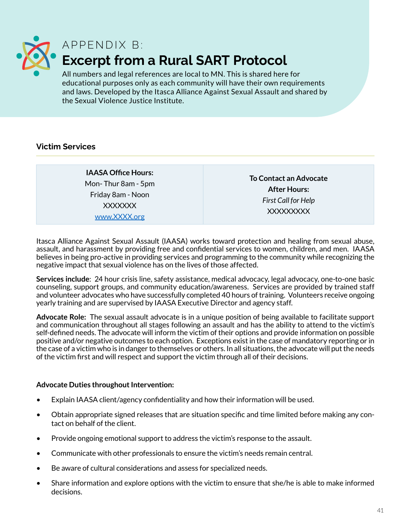<span id="page-40-0"></span>

### APPFNDIX B: **Excerpt from a Rural SART Protocol**

All numbers and legal references are local to MN. This is shared here for educational purposes only as each community will have their own requirements and laws. Developed by the Itasca Alliance Against Sexual Assault and shared by the Sexual Violence Justice Institute.

#### **Victim Services**

**IAASA Office Hours:** Mon- Thur 8am - 5pm Friday 8am - Noon XXXXXXX [www.XXXX.org](http://www.XXXX.org)

**To Contact an Advocate After Hours:** *First Call for Help* XXXXXXXXX

Itasca Alliance Against Sexual Assault (IAASA) works toward protection and healing from sexual abuse, assault, and harassment by providing free and confidential services to women, children, and men. IAASA believes in being pro-active in providing services and programming to the community while recognizing the negative impact that sexual violence has on the lives of those affected.

**Services include**: 24 hour crisis line, safety assistance, medical advocacy, legal advocacy, one-to-one basic counseling, support groups, and community education/awareness. Services are provided by trained staff and volunteer advocates who have successfully completed 40 hours of training. Volunteers receive ongoing yearly training and are supervised by IAASA Executive Director and agency staff.

**Advocate Role:** The sexual assault advocate is in a unique position of being available to facilitate support and communication throughout all stages following an assault and has the ability to attend to the victim's self-defined needs. The advocate will inform the victim of their options and provide information on possible positive and/or negative outcomes to each option. Exceptions exist in the case of mandatory reporting or in the case of a victim who is in danger to themselves or others. In all situations, the advocate will put the needs of the victim first and will respect and support the victim through all of their decisions.

#### **Advocate Duties throughout Intervention:**

- Explain IAASA client/agency confidentiality and how their information will be used.
- Obtain appropriate signed releases that are situation specific and time limited before making any contact on behalf of the client.
- Provide ongoing emotional support to address the victim's response to the assault.
- Communicate with other professionals to ensure the victim's needs remain central.
- Be aware of cultural considerations and assess for specialized needs.
- Share information and explore options with the victim to ensure that she/he is able to make informed decisions.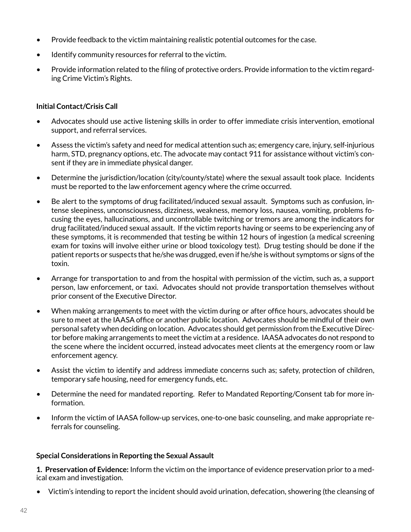- Provide feedback to the victim maintaining realistic potential outcomes for the case.
- Identify community resources for referral to the victim.
- Provide information related to the filing of protective orders. Provide information to the victim regarding Crime Victim's Rights.

#### **Initial Contact/Crisis Call**

- Advocates should use active listening skills in order to offer immediate crisis intervention, emotional support, and referral services.
- Assess the victim's safety and need for medical attention such as; emergency care, injury, self-injurious harm, STD, pregnancy options, etc. The advocate may contact 911 for assistance without victim's consent if they are in immediate physical danger.
- Determine the jurisdiction/location (city/county/state) where the sexual assault took place. Incidents must be reported to the law enforcement agency where the crime occurred.
- Be alert to the symptoms of drug facilitated/induced sexual assault. Symptoms such as confusion, intense sleepiness, unconsciousness, dizziness, weakness, memory loss, nausea, vomiting, problems focusing the eyes, hallucinations, and uncontrollable twitching or tremors are among the indicators for drug facilitated/induced sexual assault. If the victim reports having or seems to be experiencing any of these symptoms, it is recommended that testing be within 12 hours of ingestion (a medical screening exam for toxins will involve either urine or blood toxicology test). Drug testing should be done if the patient reports or suspects that he/she was drugged, even if he/she is without symptoms or signs of the toxin.
- Arrange for transportation to and from the hospital with permission of the victim, such as, a support person, law enforcement, or taxi. Advocates should not provide transportation themselves without prior consent of the Executive Director.
- When making arrangements to meet with the victim during or after office hours, advocates should be sure to meet at the IAASA office or another public location. Advocates should be mindful of their own personal safety when deciding on location. Advocates should get permission from the Executive Director before making arrangements to meet the victim at a residence. IAASA advocates do not respond to the scene where the incident occurred, instead advocates meet clients at the emergency room or law enforcement agency.
- Assist the victim to identify and address immediate concerns such as; safety, protection of children, temporary safe housing, need for emergency funds, etc.
- Determine the need for mandated reporting. Refer to Mandated Reporting/Consent tab for more information.
- Inform the victim of IAASA follow-up services, one-to-one basic counseling, and make appropriate referrals for counseling.

#### **Special Considerations in Reporting the Sexual Assault**

**1. Preservation of Evidence:** Inform the victim on the importance of evidence preservation prior to a medical exam and investigation.

• Victim's intending to report the incident should avoid urination, defecation, showering (the cleansing of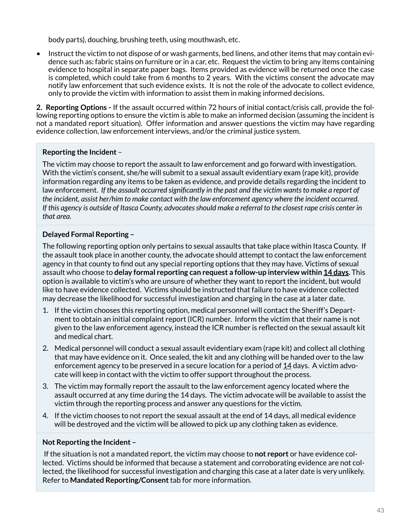body parts), douching, brushing teeth, using mouthwash, etc.

• Instruct the victim to not dispose of or wash garments, bed linens, and other items that may contain evidence such as: fabric stains on furniture or in a car, etc. Request the victim to bring any items containing evidence to hospital in separate paper bags. Items provided as evidence will be returned once the case is completed, which could take from 6 months to 2 years. With the victims consent the advocate may notify law enforcement that such evidence exists. It is not the role of the advocate to collect evidence, only to provide the victim with information to assist them in making informed decisions.

**2. Reporting Options -** If the assault occurred within 72 hours of initial contact/crisis call, provide the following reporting options to ensure the victim is able to make an informed decision (assuming the incident is not a mandated report situation). Offer information and answer questions the victim may have regarding evidence collection, law enforcement interviews, and/or the criminal justice system.

#### **Reporting the Incident** –

The victim may choose to report the assault to law enforcement and go forward with investigation. With the victim's consent, she/he will submit to a sexual assault evidentiary exam (rape kit), provide information regarding any items to be taken as evidence, and provide details regarding the incident to law enforcement. If the assault occurred significantly in the past and the victim wants to make a report of *the incident, assist her/him to make contact with the law enforcement agency where the incident occurred. If this agency is outside of Itasca County, advocates should make a referral to the closest rape crisis center in that area.*

#### **Delayed Formal Reporting –**

The following reporting option only pertains to sexual assaults that take place within Itasca County. If the assault took place in another county, the advocate should attempt to contact the law enforcement agency in that county to find out any special reporting options that they may have. Victims of sexual assault who choose to **delay formal reporting can request a follow-up interview within 14 days.** This option is available to victim's who are unsure of whether they want to report the incident, but would like to have evidence collected. Victims should be instructed that failure to have evidence collected may decrease the likelihood for successful investigation and charging in the case at a later date.

- 1. If the victim chooses this reporting option, medical personnel will contact the Sheriff's Department to obtain an initial complaint report (ICR) number. Inform the victim that their name is not given to the law enforcement agency, instead the ICR number is reflected on the sexual assault kit and medical chart.
- 2. Medical personnel will conduct a sexual assault evidentiary exam (rape kit) and collect all clothing that may have evidence on it. Once sealed, the kit and any clothing will be handed over to the law enforcement agency to be preserved in a secure location for a period of  $14$  days. A victim advocate will keep in contact with the victim to offer support throughout the process.
- 3. The victim may formally report the assault to the law enforcement agency located where the assault occurred at any time during the 14 days. The victim advocate will be available to assist the victim through the reporting process and answer any questions for the victim.
- 4. If the victim chooses to not report the sexual assault at the end of 14 days, all medical evidence will be destroyed and the victim will be allowed to pick up any clothing taken as evidence.

#### **Not Reporting the Incident –**

If the situation is not a mandated report, the victim may choose to **not report** or have evidence collected. Victims should be informed that because a statement and corroborating evidence are not collected, the likelihood for successful investigation and charging this case at a later date is very unlikely. Refer to **Mandated Reporting/Consent** tab for more information.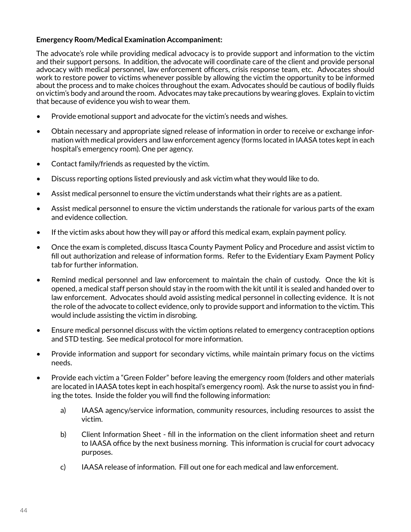#### **Emergency Room/Medical Examination Accompaniment:**

The advocate's role while providing medical advocacy is to provide support and information to the victim and their support persons. In addition, the advocate will coordinate care of the client and provide personal advocacy with medical personnel, law enforcement officers, crisis response team, etc. Advocates should work to restore power to victims whenever possible by allowing the victim the opportunity to be informed about the process and to make choices throughout the exam. Advocates should be cautious of bodily fluids on victim's body and around the room. Advocates may take precautions by wearing gloves. Explain to victim that because of evidence you wish to wear them.

- Provide emotional support and advocate for the victim's needs and wishes.
- Obtain necessary and appropriate signed release of information in order to receive or exchange information with medical providers and law enforcement agency (forms located in IAASA totes kept in each hospital's emergency room). One per agency.
- Contact family/friends as requested by the victim.
- Discuss reporting options listed previously and ask victim what they would like to do.
- Assist medical personnel to ensure the victim understands what their rights are as a patient.
- Assist medical personnel to ensure the victim understands the rationale for various parts of the exam and evidence collection.
- If the victim asks about how they will pay or afford this medical exam, explain payment policy.
- Once the exam is completed, discuss Itasca County Payment Policy and Procedure and assist victim to fill out authorization and release of information forms. Refer to the Evidentiary Exam Payment Policy tab for further information.
- Remind medical personnel and law enforcement to maintain the chain of custody. Once the kit is opened, a medical staff person should stay in the room with the kit until it is sealed and handed over to law enforcement. Advocates should avoid assisting medical personnel in collecting evidence. It is not the role of the advocate to collect evidence, only to provide support and information to the victim. This would include assisting the victim in disrobing.
- Ensure medical personnel discuss with the victim options related to emergency contraception options and STD testing. See medical protocol for more information.
- Provide information and support for secondary victims, while maintain primary focus on the victims needs.
- Provide each victim a "Green Folder" before leaving the emergency room (folders and other materials are located in IAASA totes kept in each hospital's emergency room). Ask the nurse to assist you in finding the totes. Inside the folder you will find the following information:
	- a) IAASA agency/service information, community resources, including resources to assist the victim.
	- b) Client Information Sheet fill in the information on the client information sheet and return to IAASA office by the next business morning. This information is crucial for court advocacy purposes.
	- c) IAASA release of information. Fill out one for each medical and law enforcement.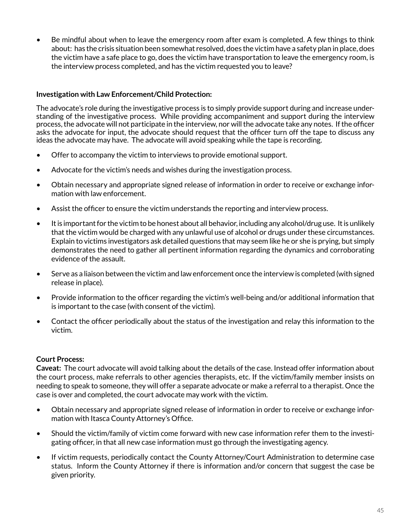• Be mindful about when to leave the emergency room after exam is completed. A few things to think about: has the crisis situation been somewhat resolved, does the victim have a safety plan in place, does the victim have a safe place to go, does the victim have transportation to leave the emergency room, is the interview process completed, and has the victim requested you to leave?

#### **Investigation with Law Enforcement/Child Protection:**

The advocate's role during the investigative process is to simply provide support during and increase understanding of the investigative process. While providing accompaniment and support during the interview process, the advocate will not participate in the interview, nor will the advocate take any notes. If the officer asks the advocate for input, the advocate should request that the officer turn off the tape to discuss any ideas the advocate may have. The advocate will avoid speaking while the tape is recording.

- Offer to accompany the victim to interviews to provide emotional support.
- Advocate for the victim's needs and wishes during the investigation process.
- Obtain necessary and appropriate signed release of information in order to receive or exchange information with law enforcement.
- Assist the officer to ensure the victim understands the reporting and interview process.
- It is important for the victim to be honest about all behavior, including any alcohol/drug use. It is unlikely that the victim would be charged with any unlawful use of alcohol or drugs under these circumstances. Explain to victims investigators ask detailed questions that may seem like he or she is prying, but simply demonstrates the need to gather all pertinent information regarding the dynamics and corroborating evidence of the assault.
- Serve as a liaison between the victim and law enforcement once the interview is completed (with signed release in place).
- Provide information to the officer regarding the victim's well-being and/or additional information that is important to the case (with consent of the victim).
- Contact the officer periodically about the status of the investigation and relay this information to the victim.

#### **Court Process:**

**Caveat:** The court advocate will avoid talking about the details of the case. Instead offer information about the court process, make referrals to other agencies therapists, etc. If the victim/family member insists on needing to speak to someone, they will offer a separate advocate or make a referral to a therapist. Once the case is over and completed, the court advocate may work with the victim.

- Obtain necessary and appropriate signed release of information in order to receive or exchange information with Itasca County Attorney's Office.
- Should the victim/family of victim come forward with new case information refer them to the investigating officer, in that all new case information must go through the investigating agency.
- If victim requests, periodically contact the County Attorney/Court Administration to determine case status. Inform the County Attorney if there is information and/or concern that suggest the case be given priority.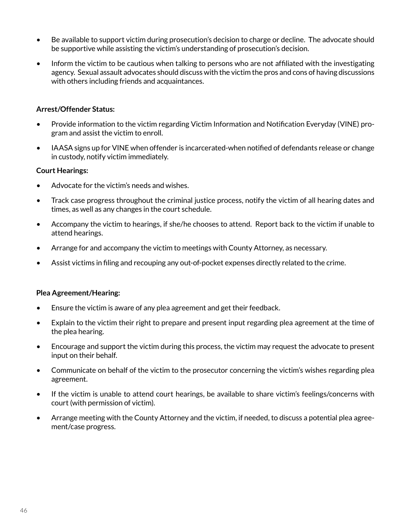- Be available to support victim during prosecution's decision to charge or decline. The advocate should be supportive while assisting the victim's understanding of prosecution's decision.
- Inform the victim to be cautious when talking to persons who are not affiliated with the investigating agency. Sexual assault advocates should discuss with the victim the pros and cons of having discussions with others including friends and acquaintances.

#### **Arrest/Offender Status:**

- Provide information to the victim regarding Victim Information and Notification Everyday (VINE) program and assist the victim to enroll.
- IAASA signs up for VINE when offender is incarcerated-when notified of defendants release or change in custody, notify victim immediately.

#### **Court Hearings:**

- Advocate for the victim's needs and wishes.
- Track case progress throughout the criminal justice process, notify the victim of all hearing dates and times, as well as any changes in the court schedule.
- Accompany the victim to hearings, if she/he chooses to attend. Report back to the victim if unable to attend hearings.
- Arrange for and accompany the victim to meetings with County Attorney, as necessary.
- Assist victims in filing and recouping any out-of-pocket expenses directly related to the crime.

#### **Plea Agreement/Hearing:**

- Ensure the victim is aware of any plea agreement and get their feedback.
- Explain to the victim their right to prepare and present input regarding plea agreement at the time of the plea hearing.
- Encourage and support the victim during this process, the victim may request the advocate to present input on their behalf.
- Communicate on behalf of the victim to the prosecutor concerning the victim's wishes regarding plea agreement.
- If the victim is unable to attend court hearings, be available to share victim's feelings/concerns with court (with permission of victim).
- Arrange meeting with the County Attorney and the victim, if needed, to discuss a potential plea agreement/case progress.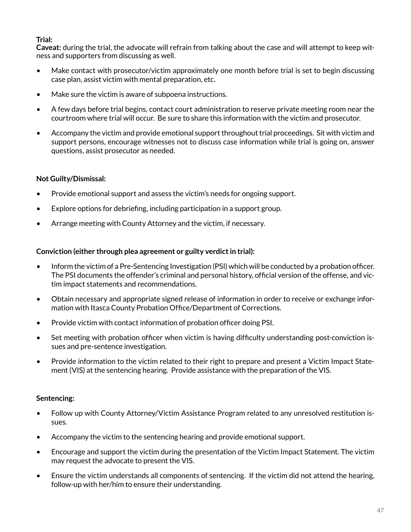#### **Trial:**

**Caveat:** during the trial, the advocate will refrain from talking about the case and will attempt to keep witness and supporters from discussing as well.

- Make contact with prosecutor/victim approximately one month before trial is set to begin discussing case plan, assist victim with mental preparation, etc.
- Make sure the victim is aware of subpoena instructions.
- A few days before trial begins, contact court administration to reserve private meeting room near the courtroom where trial will occur. Be sure to share this information with the victim and prosecutor.
- Accompany the victim and provide emotional support throughout trial proceedings. Sit with victim and support persons, encourage witnesses not to discuss case information while trial is going on, answer questions, assist prosecutor as needed.

#### **Not Guilty/Dismissal:**

- Provide emotional support and assess the victim's needs for ongoing support.
- Explore options for debriefing, including participation in a support group.
- Arrange meeting with County Attorney and the victim, if necessary.

#### **Conviction (either through plea agreement or guilty verdict in trial):**

- Inform the victim of a Pre-Sentencing Investigation (PSI) which will be conducted by a probation officer. The PSI documents the offender's criminal and personal history, official version of the offense, and victim impact statements and recommendations.
- Obtain necessary and appropriate signed release of information in order to receive or exchange information with Itasca County Probation Office/Department of Corrections.
- Provide victim with contact information of probation officer doing PSI.
- Set meeting with probation officer when victim is having difficulty understanding post-conviction issues and pre-sentence investigation.
- Provide information to the victim related to their right to prepare and present a Victim Impact Statement (VIS) at the sentencing hearing. Provide assistance with the preparation of the VIS.

#### **Sentencing:**

- Follow up with County Attorney/Victim Assistance Program related to any unresolved restitution issues.
- Accompany the victim to the sentencing hearing and provide emotional support.
- Encourage and support the victim during the presentation of the Victim Impact Statement. The victim may request the advocate to present the VIS.
- Ensure the victim understands all components of sentencing. If the victim did not attend the hearing, follow-up with her/him to ensure their understanding.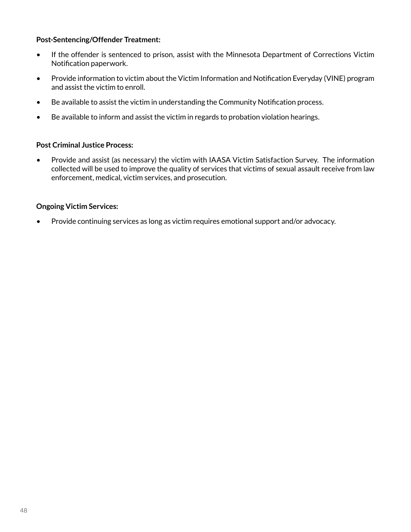#### **Post-Sentencing/Offender Treatment:**

- If the offender is sentenced to prison, assist with the Minnesota Department of Corrections Victim Notification paperwork.
- Provide information to victim about the Victim Information and Notification Everyday (VINE) program and assist the victim to enroll.
- Be available to assist the victim in understanding the Community Notification process.
- Be available to inform and assist the victim in regards to probation violation hearings.

#### **Post Criminal Justice Process:**

• Provide and assist (as necessary) the victim with IAASA Victim Satisfaction Survey. The information collected will be used to improve the quality of services that victims of sexual assault receive from law enforcement, medical, victim services, and prosecution.

#### **Ongoing Victim Services:**

• Provide continuing services as long as victim requires emotional support and/or advocacy.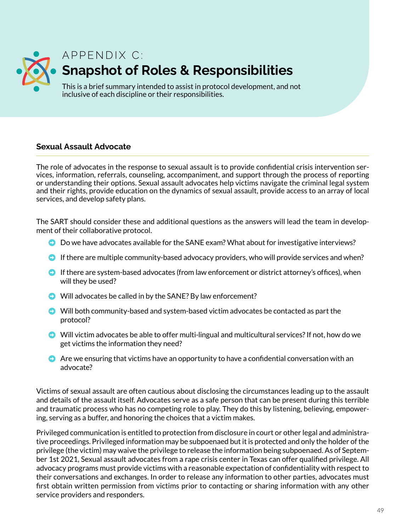<span id="page-48-0"></span>

### A P P F N D I X C : **Snapshot of Roles & Responsibilities**

This is a brief summary intended to assist in protocol development, and not inclusive of each discipline or their responsibilities.

#### **Sexual Assault Advocate**

The role of advocates in the response to sexual assault is to provide confidential crisis intervention services, information, referrals, counseling, accompaniment, and support through the process of reporting or understanding their options. Sexual assault advocates help victims navigate the criminal legal system and their rights, provide education on the dynamics of sexual assault, provide access to an array of local services, and develop safety plans.

The SART should consider these and additional questions as the answers will lead the team in development of their collaborative protocol.

- Do we have advocates available for the SANE exam? What about for investigative interviews?
- $\bullet$  If there are multiple community-based advocacy providers, who will provide services and when?
- $\bullet$  If there are system-based advocates (from law enforcement or district attorney's offices), when will they be used?
- $\bullet$  Will advocates be called in by the SANE? By law enforcement?
- $\bullet$  Will both community-based and system-based victim advocates be contacted as part the protocol?
- ➡ Will victim advocates be able to offer multi-lingual and multicultural services? If not, how do we get victims the information they need?
- $\bullet$  Are we ensuring that victims have an opportunity to have a confidential conversation with an advocate?

Victims of sexual assault are often cautious about disclosing the circumstances leading up to the assault and details of the assault itself. Advocates serve as a safe person that can be present during this terrible and traumatic process who has no competing role to play. They do this by listening, believing, empowering, serving as a buffer, and honoring the choices that a victim makes.

Privileged communication is entitled to protection from disclosure in court or other legal and administrative proceedings. Privileged information may be subpoenaed but it is protected and only the holder of the privilege (the victim) may waive the privilege to release the information being subpoenaed. As of September 1st 2021, Sexual assault advocates from a rape crisis center in Texas can offer qualified privilege. All advocacy programs must provide victims with a reasonable expectation of confidentiality with respect to their conversations and exchanges. In order to release any information to other parties, advocates must first obtain written permission from victims prior to contacting or sharing information with any other service providers and responders.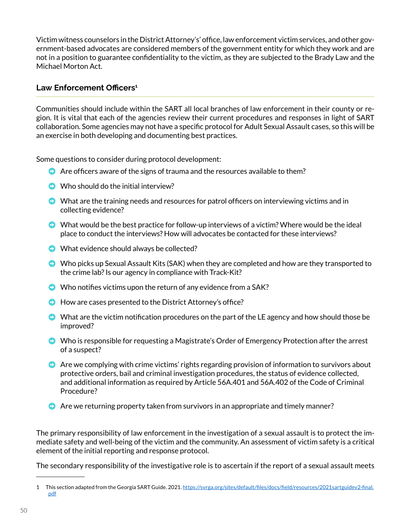Victim witness counselors in the District Attorney's' office, law enforcement victim services, and other government-based advocates are considered members of the government entity for which they work and are not in a position to guarantee confidentiality to the victim, as they are subjected to the Brady Law and the Michael Morton Act.

#### **Law Enforcement Officers<sup>1</sup>**

Communities should include within the SART all local branches of law enforcement in their county or region. It is vital that each of the agencies review their current procedures and responses in light of SART collaboration. Some agencies may not have a specific protocol for Adult Sexual Assault cases, so this will be an exercise in both developing and documenting best practices.

Some questions to consider during protocol development:

- $\bullet$  Are officers aware of the signs of trauma and the resources available to them?
- $\bullet$  Who should do the initial interview?
- $\bullet$  What are the training needs and resources for patrol officers on interviewing victims and in collecting evidence?
- $\bullet$  What would be the best practice for follow-up interviews of a victim? Where would be the ideal place to conduct the interviews? How will advocates be contacted for these interviews?
- $\bullet$  What evidence should always be collected?
- ➡ Who picks up Sexual Assault Kits (SAK) when they are completed and how are they transported to the crime lab? Is our agency in compliance with Track-Kit?
- $\bullet$  Who notifies victims upon the return of any evidence from a SAK?
- How are cases presented to the District Attorney's office?
- $\bullet$  What are the victim notification procedures on the part of the LE agency and how should those be improved?
- ➡ Who is responsible for requesting a Magistrate's Order of Emergency Protection after the arrest of a suspect?
- $\bullet$  Are we complying with crime victims' rights regarding provision of information to survivors about protective orders, bail and criminal investigation procedures, the status of evidence collected, and additional information as required by Article 56A.401 and 56A.402 of the Code of Criminal Procedure?
- $\bullet$  Are we returning property taken from survivors in an appropriate and timely manner?

The primary responsibility of law enforcement in the investigation of a sexual assault is to protect the immediate safety and well-being of the victim and the community. An assessment of victim safety is a critical element of the initial reporting and response protocol.

The secondary responsibility of the investigative role is to ascertain if the report of a sexual assault meets

<sup>1</sup> This section adapted from the Georgia SART Guide. 2021. [https://svrga.org/sites/default/files/docs/field/resources/2021sartguidev2-final.](https://svrga.org/sites/default/files/docs/field/resources/2021sartguidev2-final.pdf) [pdf](https://svrga.org/sites/default/files/docs/field/resources/2021sartguidev2-final.pdf)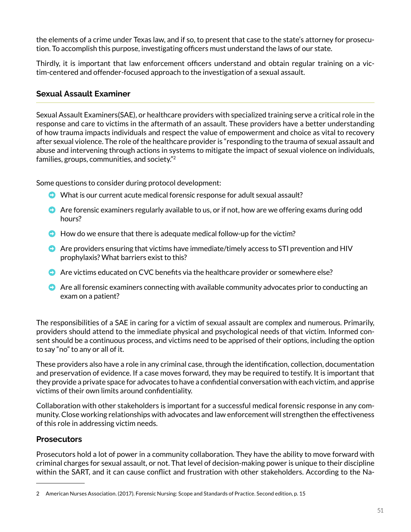the elements of a crime under Texas law, and if so, to present that case to the state's attorney for prosecution. To accomplish this purpose, investigating officers must understand the laws of our state.

Thirdly, it is important that law enforcement officers understand and obtain regular training on a victim-centered and offender-focused approach to the investigation of a sexual assault.

#### **Sexual Assault Examiner**

Sexual Assault Examiners(SAE), or healthcare providers with specialized training serve a critical role in the response and care to victims in the aftermath of an assault. These providers have a better understanding of how trauma impacts individuals and respect the value of empowerment and choice as vital to recovery after sexual violence. The role of the healthcare provider is "responding to the trauma of sexual assault and abuse and intervening through actions in systems to mitigate the impact of sexual violence on individuals, families, groups, communities, and society."2

Some questions to consider during protocol development:

- ➡ What is our current acute medical forensic response for adult sexual assault?
- ➡ Are forensic examiners regularly available to us, or if not, how are we offering exams during odd hours?
- $\bullet$  How do we ensure that there is adequate medical follow-up for the victim?
- Are providers ensuring that victims have immediate/timely access to STI prevention and HIV prophylaxis? What barriers exist to this?
- ➡ Are victims educated on CVC benefits via the healthcare provider or somewhere else?
- $\bullet$  Are all forensic examiners connecting with available community advocates prior to conducting an exam on a patient?

The responsibilities of a SAE in caring for a victim of sexual assault are complex and numerous. Primarily, providers should attend to the immediate physical and psychological needs of that victim. Informed consent should be a continuous process, and victims need to be apprised of their options, including the option to say "no" to any or all of it.

These providers also have a role in any criminal case, through the identification, collection, documentation and preservation of evidence. If a case moves forward, they may be required to testify. It is important that they provide a private space for advocates to have a confidential conversation with each victim, and apprise victims of their own limits around confidentiality.

Collaboration with other stakeholders is important for a successful medical forensic response in any community. Close working relationships with advocates and law enforcement will strengthen the effectiveness of this role in addressing victim needs.

#### **Prosecutors**

Prosecutors hold a lot of power in a community collaboration. They have the ability to move forward with criminal charges for sexual assault, or not. That level of decision-making power is unique to their discipline within the SART, and it can cause conflict and frustration with other stakeholders. According to the Na-

<sup>2</sup> American Nurses Association. (2017). Forensic Nursing: Scope and Standards of Practice. Second edition, p. 15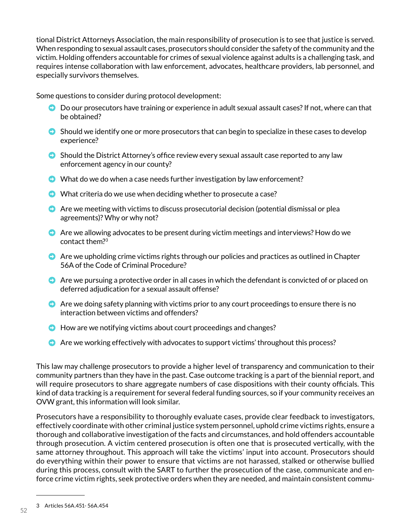tional District Attorneys Association, the main responsibility of prosecution is to see that justice is served. When responding to sexual assault cases, prosecutors should consider the safety of the community and the victim. Holding offenders accountable for crimes of sexual violence against adults is a challenging task, and requires intense collaboration with law enforcement, advocates, healthcare providers, lab personnel, and especially survivors themselves.

Some questions to consider during protocol development:

- Do our prosecutors have training or experience in adult sexual assault cases? If not, where can that be obtained?
- $\bullet$  Should we identify one or more prosecutors that can begin to specialize in these cases to develop experience?
- Should the District Attorney's office review every sexual assault case reported to any law enforcement agency in our county?
- $\bullet$  What do we do when a case needs further investigation by law enforcement?
- What criteria do we use when deciding whether to prosecute a case?
- $\bullet$  Are we meeting with victims to discuss prosecutorial decision (potential dismissal or plea agreements)? Why or why not?
- ➡ Are we allowing advocates to be present during victim meetings and interviews? How do we contact them?3
- **O** Are we upholding crime victims rights through our policies and practices as outlined in Chapter 56A of the Code of Criminal Procedure?
- **O** Are we pursuing a protective order in all cases in which the defendant is convicted of or placed on deferred adjudication for a sexual assault offense?
- $\bullet$  Are we doing safety planning with victims prior to any court proceedings to ensure there is no interaction between victims and offenders?
- How are we notifying victims about court proceedings and changes?
- **E** Are we working effectively with advocates to support victims' throughout this process?

This law may challenge prosecutors to provide a higher level of transparency and communication to their community partners than they have in the past. Case outcome tracking is a part of the biennial report, and will require prosecutors to share aggregate numbers of case dispositions with their county officials. This kind of data tracking is a requirement for several federal funding sources, so if your community receives an OVW grant, this information will look similar.

Prosecutors have a responsibility to thoroughly evaluate cases, provide clear feedback to investigators, effectively coordinate with other criminal justice system personnel, uphold crime victims rights, ensure a thorough and collaborative investigation of the facts and circumstances, and hold offenders accountable through prosecution. A victim centered prosecution is often one that is prosecuted vertically, with the same attorney throughout. This approach will take the victims' input into account. Prosecutors should do everything within their power to ensure that victims are not harassed, stalked or otherwise bullied during this process, consult with the SART to further the prosecution of the case, communicate and enforce crime victim rights, seek protective orders when they are needed, and maintain consistent commu-

<sup>3</sup> Articles 56A.451- 56A.454